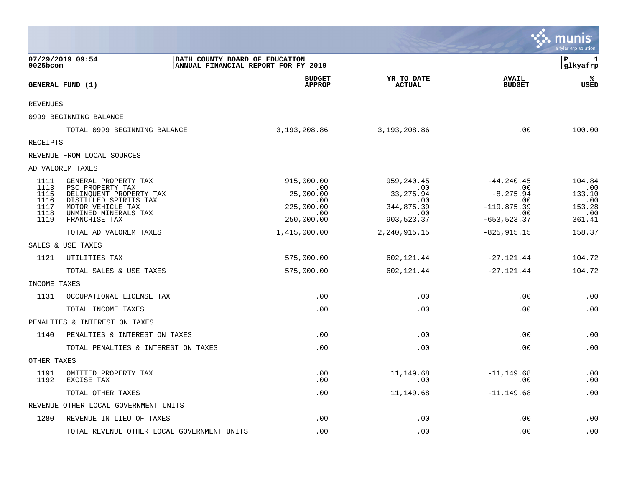|                 |                                                  |                                                                       |                             |                               | munis<br>a tyler erp solution |
|-----------------|--------------------------------------------------|-----------------------------------------------------------------------|-----------------------------|-------------------------------|-------------------------------|
| 9025bcom        | 07/29/2019 09:54                                 | BATH COUNTY BOARD OF EDUCATION<br>ANNUAL FINANCIAL REPORT FOR FY 2019 |                             |                               | ΙP<br>1<br>glkyafrp           |
|                 | GENERAL FUND (1)                                 | <b>BUDGET</b><br><b>APPROP</b>                                        | YR TO DATE<br><b>ACTUAL</b> | <b>AVAIL</b><br><b>BUDGET</b> | ℁<br>USED                     |
| <b>REVENUES</b> |                                                  |                                                                       |                             |                               |                               |
|                 | 0999 BEGINNING BALANCE                           |                                                                       |                             |                               |                               |
|                 | TOTAL 0999 BEGINNING BALANCE                     | 3,193,208.86                                                          | 3,193,208.86                | .00                           | 100.00                        |
| <b>RECEIPTS</b> |                                                  |                                                                       |                             |                               |                               |
|                 | REVENUE FROM LOCAL SOURCES                       |                                                                       |                             |                               |                               |
|                 | AD VALOREM TAXES                                 |                                                                       |                             |                               |                               |
| 1111<br>1113    | GENERAL PROPERTY TAX<br>PSC PROPERTY TAX         | 915,000.00<br>.00                                                     | 959,240.45<br>.00           | $-44, 240.45$<br>$\ldots$     | 104.84<br>.00                 |
| 1115<br>1116    | DELINQUENT PROPERTY TAX<br>DISTILLED SPIRITS TAX | 25,000.00<br>.00                                                      | 33, 275.94<br>.00           | $-8, 275.94$<br>0.00          | 133.10<br>.00                 |
| 1117<br>1118    | MOTOR VEHICLE TAX<br>UNMINED MINERALS TAX        | 225,000.00<br>.00                                                     | 344,875.39<br>.00           | $-119,875.39$<br>.00          | 153.28<br>.00                 |
| 1119            | FRANCHISE TAX                                    | 250,000.00                                                            | 903,523.37                  | $-653, 523.37$                | 361.41                        |
|                 | TOTAL AD VALOREM TAXES                           | 1,415,000.00                                                          | 2,240,915.15                | $-825, 915.15$                | 158.37                        |
|                 | SALES & USE TAXES                                |                                                                       |                             |                               |                               |
| 1121            | UTILITIES TAX                                    | 575,000.00                                                            | 602,121.44                  | $-27, 121.44$                 | 104.72                        |
|                 | TOTAL SALES & USE TAXES                          | 575,000.00                                                            | 602,121.44                  | $-27, 121.44$                 | 104.72                        |
| INCOME TAXES    |                                                  |                                                                       |                             |                               |                               |
| 1131            | OCCUPATIONAL LICENSE TAX                         | .00                                                                   | .00                         | .00                           | .00                           |
|                 | TOTAL INCOME TAXES                               | .00                                                                   | .00                         | .00                           | .00                           |
|                 | PENALTIES & INTEREST ON TAXES                    |                                                                       |                             |                               |                               |
| 1140            | PENALTIES & INTEREST ON TAXES                    | .00                                                                   | .00                         | .00                           | .00                           |
|                 | TOTAL PENALTIES & INTEREST ON TAXES              | .00                                                                   | .00                         | .00                           | .00                           |
| OTHER TAXES     |                                                  |                                                                       |                             |                               |                               |
| 1191<br>1192    | OMITTED PROPERTY TAX<br>EXCISE TAX               | .00<br>.00                                                            | 11,149.68<br>.00            | $-11, 149.68$<br>.00          | .00<br>.00                    |
|                 | TOTAL OTHER TAXES                                | .00                                                                   | 11,149.68                   | $-11, 149.68$                 | .00                           |
|                 | REVENUE OTHER LOCAL GOVERNMENT UNITS             |                                                                       |                             |                               |                               |
| 1280            | REVENUE IN LIEU OF TAXES                         | .00                                                                   | .00                         | .00                           | .00                           |
|                 | TOTAL REVENUE OTHER LOCAL GOVERNMENT UNITS       | .00                                                                   | .00                         | .00                           | .00                           |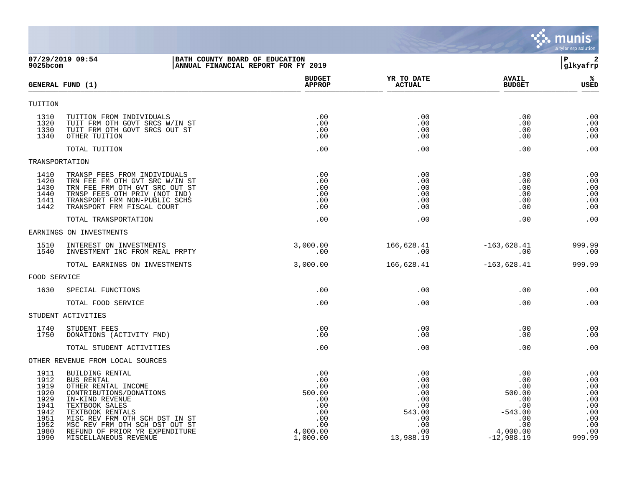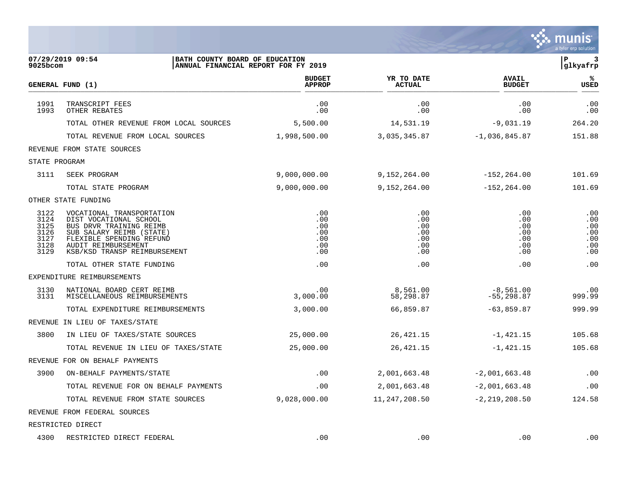|                                                      |                                                                                                                                                                                               |                                               |                                               |                                               | a tyler erp solution                          |
|------------------------------------------------------|-----------------------------------------------------------------------------------------------------------------------------------------------------------------------------------------------|-----------------------------------------------|-----------------------------------------------|-----------------------------------------------|-----------------------------------------------|
| 9025bcom                                             | 07/29/2019 09:54<br>BATH COUNTY BOARD OF EDUCATION<br>ANNUAL FINANCIAL REPORT FOR FY 2019                                                                                                     |                                               |                                               |                                               | P<br>3<br>glkyafrp                            |
|                                                      | GENERAL FUND (1)                                                                                                                                                                              | <b>BUDGET</b><br><b>APPROP</b>                | YR TO DATE<br><b>ACTUAL</b>                   | <b>AVAIL</b><br><b>BUDGET</b>                 | ℁<br>USED                                     |
| 1991<br>1993                                         | TRANSCRIPT FEES<br>OTHER REBATES                                                                                                                                                              | .00<br>.00                                    | .00<br>.00                                    | .00<br>.00                                    | .00<br>.00                                    |
|                                                      | TOTAL OTHER REVENUE FROM LOCAL SOURCES                                                                                                                                                        | 5,500.00                                      | 14,531.19                                     | $-9,031.19$                                   | 264.20                                        |
|                                                      | TOTAL REVENUE FROM LOCAL SOURCES                                                                                                                                                              | 1,998,500.00                                  | 3,035,345.87                                  | $-1,036,845.87$                               | 151.88                                        |
|                                                      | REVENUE FROM STATE SOURCES                                                                                                                                                                    |                                               |                                               |                                               |                                               |
| STATE PROGRAM                                        |                                                                                                                                                                                               |                                               |                                               |                                               |                                               |
| 3111                                                 | SEEK PROGRAM                                                                                                                                                                                  | 9,000,000.00                                  | 9,152,264.00                                  | $-152, 264.00$                                | 101.69                                        |
|                                                      | TOTAL STATE PROGRAM                                                                                                                                                                           | 9,000,000.00                                  | 9,152,264.00                                  | $-152, 264.00$                                | 101.69                                        |
|                                                      | OTHER STATE FUNDING                                                                                                                                                                           |                                               |                                               |                                               |                                               |
| 3122<br>3124<br>3125<br>3126<br>3127<br>3128<br>3129 | VOCATIONAL TRANSPORTATION<br>DIST VOCATIONAL SCHOOL<br>BUS DRVR TRAINING REIMB<br>SUB SALARY REIMB (STATE)<br>FLEXIBLE SPENDING REFUND<br>AUDIT REIMBURSEMENT<br>KSB/KSD TRANSP REIMBURSEMENT | .00<br>.00<br>.00<br>.00<br>.00<br>.00<br>.00 | .00<br>.00<br>.00<br>.00<br>.00<br>.00<br>.00 | .00<br>.00<br>.00<br>.00<br>.00<br>.00<br>.00 | .00<br>.00<br>.00<br>.00<br>.00<br>.00<br>.00 |
|                                                      | TOTAL OTHER STATE FUNDING                                                                                                                                                                     | .00                                           | .00                                           | .00                                           | .00                                           |
|                                                      | EXPENDITURE REIMBURSEMENTS                                                                                                                                                                    |                                               |                                               |                                               |                                               |
| 3130<br>3131                                         | NATIONAL BOARD CERT REIMB<br>MISCELLANEOUS REIMBURSEMENTS                                                                                                                                     | .00<br>3,000.00                               | 8,561.00<br>58,298.87                         | $-8,561.00$<br>$-55, 298.87$                  | .00<br>999.99                                 |
|                                                      | TOTAL EXPENDITURE REIMBURSEMENTS                                                                                                                                                              | 3,000.00                                      | 66,859.87                                     | $-63,859.87$                                  | 999.99                                        |
| REVENUE                                              | IN LIEU OF TAXES/STATE                                                                                                                                                                        |                                               |                                               |                                               |                                               |
| 3800                                                 | IN LIEU OF TAXES/STATE SOURCES                                                                                                                                                                | 25,000.00                                     | 26, 421. 15                                   | $-1,421.15$                                   | 105.68                                        |
|                                                      | TOTAL REVENUE IN LIEU OF TAXES/STATE                                                                                                                                                          | 25,000.00                                     | 26, 421.15                                    | $-1,421.15$                                   | 105.68                                        |
|                                                      | REVENUE FOR ON BEHALF PAYMENTS                                                                                                                                                                |                                               |                                               |                                               |                                               |
| 3900                                                 | ON-BEHALF PAYMENTS/STATE                                                                                                                                                                      | .00                                           | 2,001,663.48                                  | $-2,001,663.48$                               | .00                                           |
|                                                      | TOTAL REVENUE FOR ON BEHALF PAYMENTS                                                                                                                                                          | .00                                           | 2,001,663.48                                  | $-2,001,663.48$                               | .00                                           |
|                                                      | TOTAL REVENUE FROM STATE SOURCES                                                                                                                                                              | 9,028,000.00                                  | 11, 247, 208.50                               | $-2, 219, 208.50$                             | 124.58                                        |
|                                                      | REVENUE FROM FEDERAL SOURCES                                                                                                                                                                  |                                               |                                               |                                               |                                               |
|                                                      | RESTRICTED DIRECT                                                                                                                                                                             |                                               |                                               |                                               |                                               |
|                                                      | 4300 RESTRICTED DIRECT FEDERAL                                                                                                                                                                | .00                                           | .00                                           | $.00 \,$                                      | .00                                           |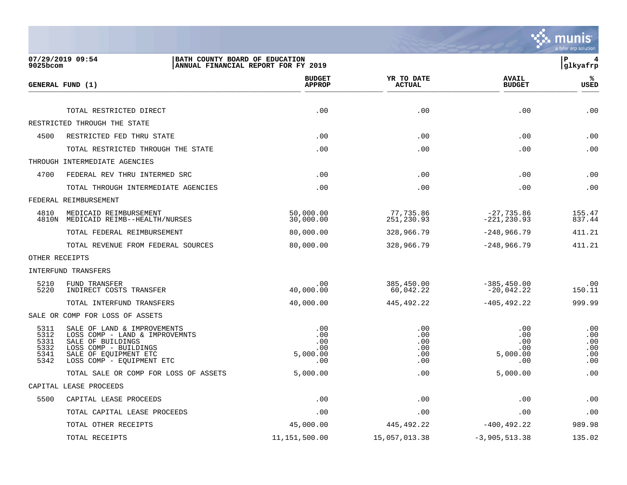

| 9025bcom                                     | 07/29/2019 09:54<br>BATH COUNTY BOARD OF EDUCATION                                                                                                                | ANNUAL FINANCIAL REPORT FOR FY 2019         |                                        |                                             | P<br>4<br> glkyafrp                    |
|----------------------------------------------|-------------------------------------------------------------------------------------------------------------------------------------------------------------------|---------------------------------------------|----------------------------------------|---------------------------------------------|----------------------------------------|
|                                              | GENERAL FUND (1)                                                                                                                                                  | <b>BUDGET</b><br><b>APPROP</b>              | YR TO DATE<br><b>ACTUAL</b>            | <b>AVAIL</b><br><b>BUDGET</b>               | %ะ<br>USED                             |
|                                              | TOTAL RESTRICTED DIRECT                                                                                                                                           | .00                                         | .00                                    | .00                                         | .00                                    |
|                                              | RESTRICTED THROUGH THE STATE                                                                                                                                      |                                             |                                        |                                             |                                        |
| 4500                                         | RESTRICTED FED THRU STATE                                                                                                                                         | .00                                         | .00                                    | .00                                         | .00                                    |
|                                              | TOTAL RESTRICTED THROUGH THE STATE                                                                                                                                | .00                                         | .00                                    | .00                                         | .00                                    |
|                                              | THROUGH INTERMEDIATE AGENCIES                                                                                                                                     |                                             |                                        |                                             |                                        |
| 4700                                         | FEDERAL REV THRU INTERMED SRC                                                                                                                                     | .00                                         | .00                                    | .00                                         | .00                                    |
|                                              | TOTAL THROUGH INTERMEDIATE AGENCIES                                                                                                                               | .00                                         | .00                                    | .00                                         | .00                                    |
|                                              | FEDERAL REIMBURSEMENT                                                                                                                                             |                                             |                                        |                                             |                                        |
| 4810                                         | MEDICAID REIMBURSEMENT<br>4810N MEDICAID REIMB--HEALTH/NURSES                                                                                                     | 50,000.00<br>30,000.00                      | 77,735.86<br>251,230.93                | $-27,735.86$<br>$-221, 230.93$              | 155.47<br>837.44                       |
|                                              | TOTAL FEDERAL REIMBURSEMENT                                                                                                                                       | 80,000.00                                   | 328,966.79                             | $-248,966.79$                               | 411.21                                 |
|                                              | TOTAL REVENUE FROM FEDERAL SOURCES                                                                                                                                | 80,000.00                                   | 328,966.79                             | $-248,966.79$                               | 411.21                                 |
|                                              | OTHER RECEIPTS                                                                                                                                                    |                                             |                                        |                                             |                                        |
|                                              | <b>INTERFUND TRANSFERS</b>                                                                                                                                        |                                             |                                        |                                             |                                        |
| 5210<br>5220                                 | FUND TRANSFER<br>INDIRECT COSTS TRANSFER                                                                                                                          | .00<br>40,000.00                            | 385,450.00<br>60,042.22                | $-385, 450.00$<br>$-20,042.22$              | .00<br>150.11                          |
|                                              | TOTAL INTERFUND TRANSFERS                                                                                                                                         | 40,000.00                                   | 445,492.22                             | $-405, 492.22$                              | 999.99                                 |
|                                              | SALE OR COMP FOR LOSS OF ASSETS                                                                                                                                   |                                             |                                        |                                             |                                        |
| 5311<br>5312<br>5331<br>5332<br>5341<br>5342 | SALE OF LAND & IMPROVEMENTS<br>LOSS COMP - LAND & IMPROVEMNTS<br>SALE OF BUILDINGS<br>LOSS COMP - BUILDINGS<br>SALE OF EQUIPMENT ETC<br>LOSS COMP - EQUIPMENT ETC | .00<br>.00<br>.00<br>.00<br>5,000.00<br>.00 | .00<br>.00<br>.00<br>.00<br>.00<br>.00 | .00<br>.00<br>.00<br>.00<br>5,000.00<br>.00 | .00<br>.00<br>.00<br>.00<br>.00<br>.00 |
|                                              | TOTAL SALE OR COMP FOR LOSS OF ASSETS                                                                                                                             | 5,000.00                                    | .00                                    | 5,000.00                                    | .00                                    |
|                                              | CAPITAL LEASE PROCEEDS                                                                                                                                            |                                             |                                        |                                             |                                        |
| 5500                                         | CAPITAL LEASE PROCEEDS                                                                                                                                            | .00                                         | .00                                    | .00                                         | .00                                    |
|                                              | TOTAL CAPITAL LEASE PROCEEDS                                                                                                                                      | .00                                         | .00                                    | .00                                         | .00                                    |
|                                              | TOTAL OTHER RECEIPTS                                                                                                                                              | 45,000.00                                   | 445,492.22                             | $-400, 492.22$                              | 989.98                                 |
|                                              | TOTAL RECEIPTS                                                                                                                                                    | 11, 151, 500.00                             | 15,057,013.38                          | $-3,905,513.38$                             | 135.02                                 |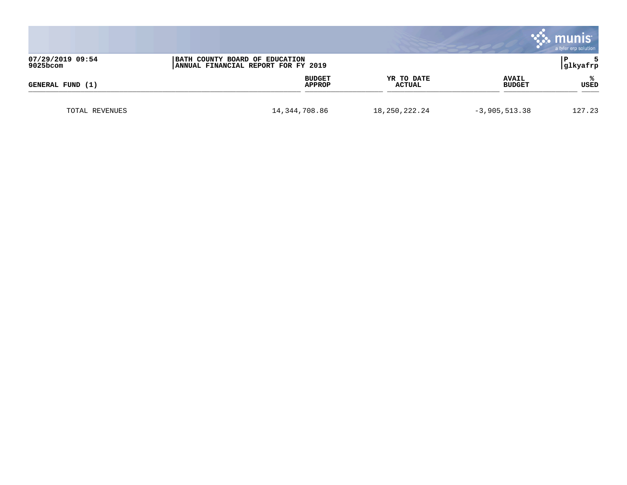|                                                                                                          |               |                         |                             |                               | munis<br>a tyler erp solution |
|----------------------------------------------------------------------------------------------------------|---------------|-------------------------|-----------------------------|-------------------------------|-------------------------------|
| 07/29/2019 09:54<br>BATH COUNTY BOARD OF EDUCATION<br>$9025$ bcom<br>ANNUAL FINANCIAL REPORT FOR FY 2019 |               |                         |                             | l P<br>glkyafrp               |                               |
| GENERAL FUND (1)                                                                                         |               | <b>BUDGET</b><br>APPROP | YR TO DATE<br><b>ACTUAL</b> | <b>AVAIL</b><br><b>BUDGET</b> | USED                          |
| TOTAL REVENUES                                                                                           | 14,344,708.86 |                         | 18, 250, 222. 24            | $-3,905,513.38$               | 127.23                        |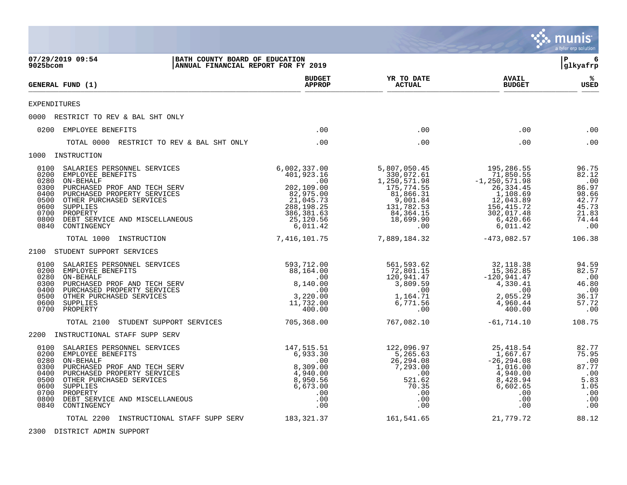|                                                                              |                                                                                                                                                                                                                                   |                                                                                                                                  |                                                                                                                                  |                                                                                                                                         | munis<br>a tyler erp solution                                                      |
|------------------------------------------------------------------------------|-----------------------------------------------------------------------------------------------------------------------------------------------------------------------------------------------------------------------------------|----------------------------------------------------------------------------------------------------------------------------------|----------------------------------------------------------------------------------------------------------------------------------|-----------------------------------------------------------------------------------------------------------------------------------------|------------------------------------------------------------------------------------|
| 9025bcom                                                                     | 07/29/2019 09:54                                                                                                                                                                                                                  | BATH COUNTY BOARD OF EDUCATION<br>ANNUAL FINANCIAL REPORT FOR FY 2019                                                            |                                                                                                                                  |                                                                                                                                         | 6<br>l P<br> glkyafrp                                                              |
|                                                                              | GENERAL FUND (1)                                                                                                                                                                                                                  | <b>BUDGET</b><br><b>APPROP</b>                                                                                                   | YR TO DATE<br><b>ACTUAL</b>                                                                                                      | <b>AVAIL</b><br><b>BUDGET</b>                                                                                                           | ℁<br>USED                                                                          |
| <b>EXPENDITURES</b>                                                          |                                                                                                                                                                                                                                   |                                                                                                                                  |                                                                                                                                  |                                                                                                                                         |                                                                                    |
|                                                                              | 0000 RESTRICT TO REV & BAL SHT ONLY                                                                                                                                                                                               |                                                                                                                                  |                                                                                                                                  |                                                                                                                                         |                                                                                    |
|                                                                              | 0200 EMPLOYEE BENEFITS                                                                                                                                                                                                            | .00                                                                                                                              | .00                                                                                                                              | .00                                                                                                                                     | .00                                                                                |
|                                                                              | TOTAL 0000 RESTRICT TO REV & BAL SHT ONLY                                                                                                                                                                                         | .00                                                                                                                              | .00                                                                                                                              | .00                                                                                                                                     | .00                                                                                |
|                                                                              | 1000 INSTRUCTION                                                                                                                                                                                                                  |                                                                                                                                  |                                                                                                                                  |                                                                                                                                         |                                                                                    |
| 0100<br>0200<br>0280<br>0300<br>0400<br>0500<br>0600<br>0700<br>0800<br>0840 | SALARIES PERSONNEL SERVICES<br>EMPLOYEE BENEFITS<br>ON-BEHALF<br>PURCHASED PROF AND TECH SERV<br>PURCHASED PROPERTY SERVICES<br>OTHER PURCHASED SERVICES<br>SUPPLIES<br>PROPERTY<br>DEBT SERVICE AND MISCELLANEOUS<br>CONTINGENCY | 6,002,337.00<br>401,923.16<br>.00<br>202,109.00<br>82,975.00<br>21,045.73<br>288, 198. 25<br>386,381.63<br>25,120.56<br>6,011.42 | 5,807,050.45<br>330,072.61<br>1,250,571.98<br>175,774.55<br>81,866.31<br>9,001.84<br>131,782.53<br>84,364.15<br>18,699.90<br>.00 | 195,286.55<br>71,850.55<br>$-1, 250, 571.98$<br>26, 334.45<br>1,108.69<br>12,043.89<br>156,415.72<br>302,017.48<br>6,420.66<br>6,011.42 | 96.75<br>82.12<br>.00<br>86.97<br>98.66<br>42.77<br>45.73<br>21.83<br>74.44<br>.00 |
|                                                                              | TOTAL 1000<br>INSTRUCTION                                                                                                                                                                                                         | 7,416,101.75                                                                                                                     | 7,889,184.32                                                                                                                     | $-473,082.57$                                                                                                                           | 106.38                                                                             |
|                                                                              | 2100 STUDENT SUPPORT SERVICES                                                                                                                                                                                                     |                                                                                                                                  |                                                                                                                                  |                                                                                                                                         |                                                                                    |
| 0100<br>0200<br>0280<br>0300<br>0400<br>0500<br>0600<br>0700                 | SALARIES PERSONNEL SERVICES<br>EMPLOYEE BENEFITS<br>ON-BEHALF<br>PURCHASED PROF AND TECH SERV<br>PURCHASED PROPERTY SERVICES<br>OTHER PURCHASED SERVICES<br>SUPPLIES<br>PROPERTY                                                  | 593,712.00<br>88,164.00<br>.00<br>8,140.00<br>.00<br>3,220.00<br>11,732.00<br>400.00                                             | 561,593.62<br>72,801.15<br>120,941.47<br>3,809.59<br>.00<br>1,164.71<br>6,771.56<br>.00                                          | 32,118.38<br>15, 362.85<br>$-120,941.47$<br>4,330.41<br>.00<br>2,055.29<br>4,960.44<br>400.00                                           | 94.59<br>82.57<br>.00<br>46.80<br>.00<br>36.17<br>57.72<br>.00                     |
|                                                                              | TOTAL 2100<br>STUDENT SUPPORT SERVICES                                                                                                                                                                                            | 705,368.00                                                                                                                       | 767,082.10                                                                                                                       | $-61,714.10$                                                                                                                            | 108.75                                                                             |
|                                                                              | 2200 INSTRUCTIONAL STAFF SUPP SERV                                                                                                                                                                                                |                                                                                                                                  |                                                                                                                                  |                                                                                                                                         |                                                                                    |
| 0100<br>0200<br>0280<br>0300<br>0400<br>0500<br>0600<br>0700<br>0800<br>0840 | SALARIES PERSONNEL SERVICES<br>EMPLOYEE BENEFITS<br>ON-BEHALF<br>PURCHASED PROF AND TECH SERV<br>PURCHASED PROPERTY SERVICES<br>OTHER PURCHASED SERVICES<br>SUPPLIES<br>PROPERTY<br>DEBT SERVICE AND MISCELLANEOUS<br>CONTINGENCY | 147,515.51<br>6,933.30<br>.00<br>8,309.00<br>4,940.00<br>8,950.56<br>6,673.00<br>.00<br>.00<br>.00                               | 122,096.97<br>5,265.63<br>26, 294.08<br>7,293.00<br>.00<br>521.62<br>70.35<br>.00<br>.00<br>.00                                  | 25,418.54<br>1,667.67<br>$-26, 294.08$<br>1,016.00<br>4,940.00<br>8,428.94<br>6,602.65<br>.00<br>.00<br>.00                             | 82.77<br>75.95<br>87.77<br>.00<br>5.83<br>1.05<br>.00<br>.00<br>.00                |
|                                                                              | TOTAL 2200 INSTRUCTIONAL STAFF SUPP SERV                                                                                                                                                                                          | 183,321.37                                                                                                                       | 161,541.65                                                                                                                       | 21,779.72                                                                                                                               | 88.12                                                                              |

2300 DISTRICT ADMIN SUPPORT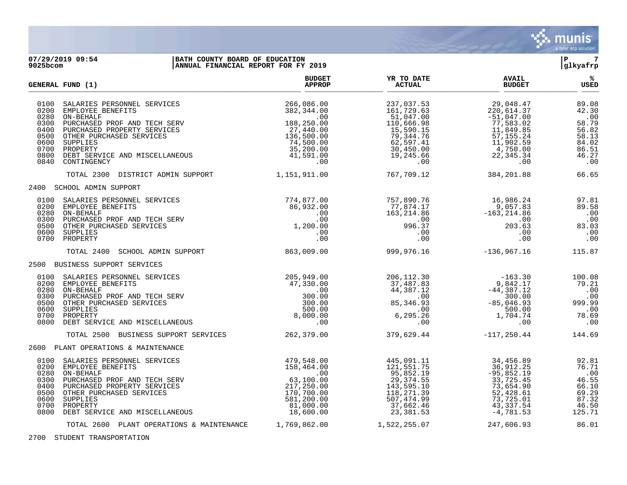

## **07/29/2019 09:54 |BATH COUNTY BOARD OF EDUCATION |P 7 9025bcom |ANNUAL FINANCIAL REPORT FOR FY 2019 |glkyafrp**

|                                                                              | <b>GENERAL FUND (1)</b>                                                                                                                                                                                                           | <b>BUDGET</b><br><b>APPROP</b>                                                                                         | YR TO DATE<br><b>ACTUAL</b>                                                                                                      | <b>AVAIL</b><br><b>BUDGET</b>                                                                                                    | %ะ<br><b>USED</b>                                                                  |
|------------------------------------------------------------------------------|-----------------------------------------------------------------------------------------------------------------------------------------------------------------------------------------------------------------------------------|------------------------------------------------------------------------------------------------------------------------|----------------------------------------------------------------------------------------------------------------------------------|----------------------------------------------------------------------------------------------------------------------------------|------------------------------------------------------------------------------------|
| 0100<br>0200<br>0280<br>0300<br>0400<br>0500<br>0600<br>0700<br>0800<br>0840 | SALARIES PERSONNEL SERVICES<br>EMPLOYEE BENEFITS<br>ON-BEHALF<br>PURCHASED PROF AND TECH SERV<br>PURCHASED PROPERTY SERVICES<br>OTHER PURCHASED SERVICES<br>SUPPLIES<br>PROPERTY<br>DEBT SERVICE AND MISCELLANEOUS<br>CONTINGENCY | 266,086.00<br>382,344.00<br>.00<br>188,250.00<br>27,440.00<br>136,500.00<br>74,500.00<br>35,200.00<br>41,591.00<br>.00 | 237,037.53<br>161,729.63<br>51,047.00<br>110,666.98<br>15,590.15<br>79,344.76<br>62,597.41<br>30,450.00<br>19,245.66<br>$.00 \,$ | 29,048.47<br>220,614.37<br>$-51,047.00$<br>77,583.02<br>11,849.85<br>57,155.24<br>11,902.59<br>4,750.00<br>22,345.34<br>$.00 \,$ | 89.08<br>42.30<br>.00<br>58.79<br>56.82<br>58.13<br>84.02<br>86.51<br>46.27<br>.00 |
|                                                                              | TOTAL 2300 DISTRICT ADMIN SUPPORT                                                                                                                                                                                                 | 1,151,911.00                                                                                                           | 767,709.12                                                                                                                       | 384,201.88                                                                                                                       | 66.65                                                                              |
|                                                                              | 2400 SCHOOL ADMIN SUPPORT                                                                                                                                                                                                         |                                                                                                                        |                                                                                                                                  |                                                                                                                                  |                                                                                    |
| 0100<br>0200<br>0280<br>0300<br>0500<br>0600<br>0700                         | SALARIES PERSONNEL SERVICES<br>EMPLOYEE BENEFITS<br>ON-BEHALF<br>PURCHASED PROF AND TECH SERV<br>OTHER PURCHASED SERVICES<br>SUPPLIES<br>PROPERTY                                                                                 | 774,877.00<br>86,932.00<br>$.00 \,$<br>.00<br>1,200.00<br>.00<br>.00                                                   | 757,890.76<br>77,874.17<br>163,214.86<br>$\sim$ 00<br>996.37<br>$.00 \,$<br>.00                                                  | 16,986.24<br>9,057.83<br>-163,214.86<br>.00<br>203.63<br>.00<br>.00                                                              | 97.81<br>89.58<br>.00<br>.00<br>83.03<br>.00<br>.00                                |
|                                                                              | TOTAL 2400<br>SCHOOL ADMIN SUPPORT                                                                                                                                                                                                | 863,009.00                                                                                                             | 999, 976.16                                                                                                                      | -136,967.16                                                                                                                      | 115.87                                                                             |
|                                                                              | 2500 BUSINESS SUPPORT SERVICES                                                                                                                                                                                                    |                                                                                                                        |                                                                                                                                  |                                                                                                                                  |                                                                                    |
| 0100<br>0200<br>0280<br>0300<br>0500<br>0600<br>0700<br>0800                 | SALARIES PERSONNEL SERVICES<br>EMPLOYEE BENEFITS<br>ON-BEHALF<br>PURCHASED PROF AND TECH SERV<br>OTHER PURCHASED SERVICES<br>SUPPLIES<br>PROPERTY<br>DEBT SERVICE AND MISCELLANEOUS                                               | 205,949.00<br>47,330.00<br>.00<br>300.00<br>300.00<br>500.00<br>8,000.00<br>.00                                        | 206,112.30<br>37,487.83<br>44,387.12<br>.00<br>85, 346.93<br>$.00\,$<br>6, 295.26<br>.00                                         | $-163.30$<br>9,842.17<br>9, 642.17<br>44, 387.12<br>300.00<br>$-85,046.93$<br>500.00<br>1,704.74<br>.00                          | 100.08<br>79.21<br>.00<br>.00<br>999.99<br>.00<br>78.69<br>.00                     |
|                                                                              | TOTAL 2500 BUSINESS SUPPORT SERVICES                                                                                                                                                                                              | 262, 379.00                                                                                                            | 379,629.44                                                                                                                       | -117,250.44                                                                                                                      | 144.69                                                                             |
|                                                                              | 2600 PLANT OPERATIONS & MAINTENANCE                                                                                                                                                                                               |                                                                                                                        |                                                                                                                                  |                                                                                                                                  |                                                                                    |
| 0100<br>0200<br>0280<br>0300<br>0400<br>0500<br>0600<br>0700<br>0800         | SALARIES PERSONNEL SERVICES<br>EMPLOYEE BENEFITS<br>ON-BEHALF<br>PURCHASED PROF AND TECH SERV<br>PURCHASED PROPERTY SERVICES<br>OTHER PURCHASED SERVICES<br>SUPPLIES<br>PROPERTY<br>DEBT SERVICE AND MISCELLANEOUS                | 479,548.00<br>158,464.00<br>.00<br>63,100.00<br>217,250.00<br>170,700.00<br>581,200.00<br>81,000.00<br>18,600.00       | 445,091.11<br>121,551.75<br>95,852.19<br>29,374.55<br>143,595.10<br>118,271.39<br>507,474.99<br>37,662.46<br>23,381.53           | 34,456.89<br>36,912.25<br>$-95,852.19$<br>33,725.45<br>73,654.90<br>52,428.61<br>73,725.01<br>43,337.54<br>$-4,781.53$           | 92.81<br>76.71<br>.00<br>46.55<br>66.10<br>69.29<br>87.32<br>46.50<br>125.71       |
|                                                                              | TOTAL 2600 PLANT OPERATIONS & MAINTENANCE                                                                                                                                                                                         | 1,769,862.00                                                                                                           | 1,522,255.07                                                                                                                     | 247,606.93                                                                                                                       | 86.01                                                                              |

2700 STUDENT TRANSPORTATION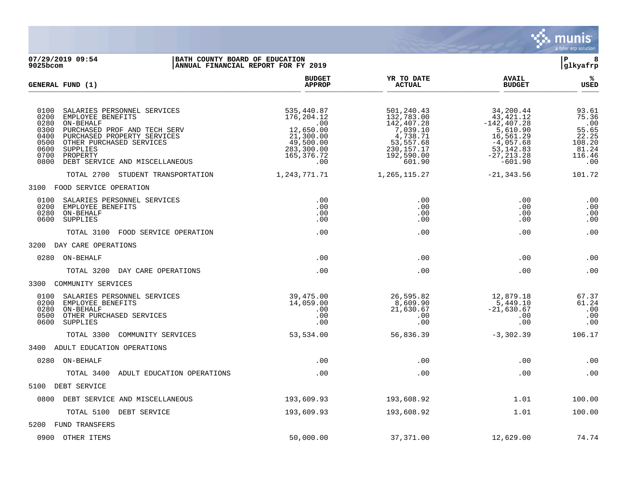

**07/29/2019 09:54 |BATH COUNTY BOARD OF EDUCATION |P 8 ANNUAL FINANCIAL REPORT FOR FY 2019 BUDGET YR TO DATE AVAIL % GENERAL FUND (1) APPROP ACTUAL BUDGET USED**  $\frac{A_{\text{H}^{\text{F}}\text{N}}}{A_{\text{H}}\text{N}}$   $\frac{A_{\text{H}}\text{N}}{A_{\text{H}}\text{N}}$   $\frac{A_{\text{H}}\text{N}}{A_{\text{H}}\text{N}}$   $\frac{A_{\text{H}}\text{N}}{A_{\text{H}}\text{N}}$   $\frac{B_{\text{H}}\text{N}}{B_{\text{H}}\text{N}}$ 0100 SALARIES PERSONNEL SERVICES 61.61 (1991) 535,440.87 501,240.43 51,240.43 51,200.44 501,240.43 53.61 (1991) 535,440.87 5.36 0200 EMPLOYEE BENEFITS 176,204.12 132,783.00 43,421.12 75.36 0280 ON-BEHALF .00 142,407.28 -142,407.28 .00 0300 PURCHASED PROF AND TECH SERV 12,650.00 12,650.00 12,650.00 117,039.10 5,610.90 55.65<br>0400 PURCHASED PROPERTY SERVICES 21,300.00 4,738.71 16,561.29 16,561.29 22.25 0400 PURCHASED PROPERTY SERVICES 21,300.00 4,738.71 16,561.29 22.25<br>0500 OTHER PURCHASED SERVICES 49,500.00 53,557.68 -4,057.68 108.20 0500 OTHER PURCHASED SERVICES (108.20 = 19,500.00 = 53,557.68 = 108.20 = 4,057.68 = 108.20 = 108.20 = 108.20 =<br>283,300.00 = 230,157.17 = 53,142.83 = 53,142.83 = 81.24 0600 SUPPLIES 283,300.00 230,157.17 53,142.83 81.24  $\frac{165}{376}$ .7200 PROPERTY 116.46 AND MISCELLANEOUS 165,376.72 192,590.00 -27,213.28 116.46<br>00 0.00 -601.90 -601.90 0800 DEBT SERVICE AND MISCELLANEOUS TOTAL 2700 STUDENT TRANSPORTATION 1,243,771.71 1,265,115.27 -21,343.56 101.72 3100 FOOD SERVICE OPERATION 0100 SALARIES PERSONNEL SERVICES .00 .00 .00 .00 0200 EMPLOYEE BENEFITS .00 .00 .00 .00 0280 ON-BEHALF .00 .00 .00 .00 0600 SUPPLIES .00 .00 .00 .00 TOTAL 3100 FOOD SERVICE OPERATION .00 .00 .00 .00 3200 DAY CARE OPERATIONS 0280 ON-BEHALF .00 .00 .00 .00 TOTAL 3200 DAY CARE OPERATIONS .00 .00 .00 .00 3300 COMMUNITY SERVICES 0100 SALARIES PERSONNEL SERVICES (39,475.00 26,595.82 12,879.18 67.37 16.0200 EMPLOYEE BENEFITS (39,475.00 200 0200 EMPLOYEE BENEFITS 14,059.00 8,609.90 5,449.10 61.24 0280 ON-BEHALF .00 21,630.67 -21,630.67 .00 0500 OTHER PURCHASED SERVICES .00 .00 .00 .00 0600 SUPPLIES .00 .00 .00 .00 TOTAL 3300 COMMUNITY SERVICES 63,534.00 53,534.00 56,836.39 -3,302.39 106.17 3400 ADULT EDUCATION OPERATIONS 0280 ON-BEHALF .00 .00 .00 .00 TOTAL 3400 ADULT EDUCATION OPERATIONS .00 .00 .00 .00 5100 DEBT SERVICE 0800 DEBT SERVICE AND MISCELLANEOUS 193,609.93 193,609.93 193,608.92 1.01 100.00 TOTAL 5100 DEBT SERVICE 100.00 193,609.93 193,608.92 193,608.92 1.01 100.00 5200 FUND TRANSFERS 0900 OTHER ITEMS 50,000.00 37,371.00 12,629.00 74.74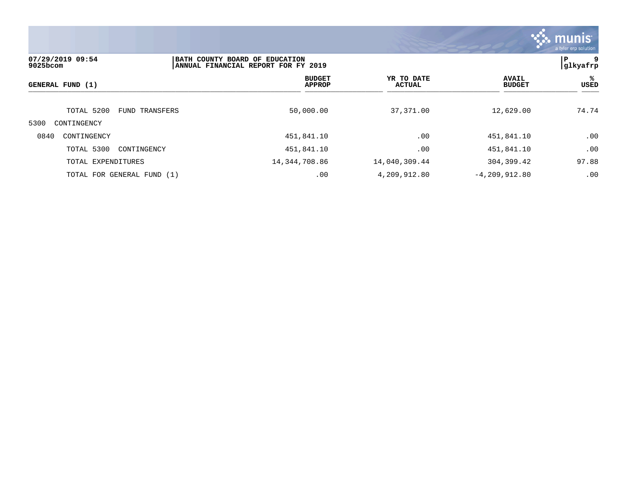

| 07/29/2019 09:54<br>$9025$ bcom | BATH COUNTY BOARD OF EDUCATION<br>ANNUAL FINANCIAL REPORT FOR FY 2019 |                                |                             |                               |           |
|---------------------------------|-----------------------------------------------------------------------|--------------------------------|-----------------------------|-------------------------------|-----------|
| GENERAL FUND (1)                |                                                                       | <b>BUDGET</b><br><b>APPROP</b> | YR TO DATE<br><b>ACTUAL</b> | <b>AVAIL</b><br><b>BUDGET</b> | ႜ<br>USED |
| TOTAL 5200                      | FUND TRANSFERS                                                        | 50,000.00                      | 37,371.00                   | 12,629.00                     | 74.74     |
| 5300<br>CONTINGENCY             |                                                                       |                                |                             |                               |           |
| 0840<br>CONTINGENCY             |                                                                       | 451,841.10                     | .00                         | 451,841.10                    | .00       |
| TOTAL 5300                      | CONTINGENCY                                                           | 451,841.10                     | .00                         | 451,841.10                    | .00       |
| TOTAL EXPENDITURES              |                                                                       | 14, 344, 708.86                | 14,040,309.44               | 304,399.42                    | 97.88     |
| TOTAL FOR GENERAL FUND (1)      |                                                                       | .00                            | 4,209,912.80                | $-4, 209, 912.80$             | .00       |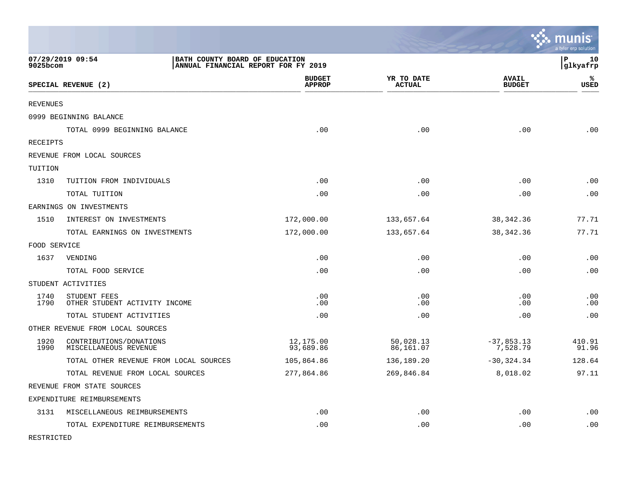|              |                                                                                           |                                |                             |                               | munis<br>a tyler erp solution |
|--------------|-------------------------------------------------------------------------------------------|--------------------------------|-----------------------------|-------------------------------|-------------------------------|
| 9025bcom     | 07/29/2019 09:54<br>BATH COUNTY BOARD OF EDUCATION<br>ANNUAL FINANCIAL REPORT FOR FY 2019 |                                |                             |                               | lР<br>10<br> glkyafrp         |
|              | SPECIAL REVENUE (2)                                                                       | <b>BUDGET</b><br><b>APPROP</b> | YR TO DATE<br><b>ACTUAL</b> | <b>AVAIL</b><br><b>BUDGET</b> | ℁<br>USED                     |
| REVENUES     |                                                                                           |                                |                             |                               |                               |
|              | 0999 BEGINNING BALANCE                                                                    |                                |                             |                               |                               |
|              | TOTAL 0999 BEGINNING BALANCE                                                              | .00                            | .00                         | .00                           | .00                           |
| RECEIPTS     |                                                                                           |                                |                             |                               |                               |
|              | REVENUE FROM LOCAL SOURCES                                                                |                                |                             |                               |                               |
| TUITION      |                                                                                           |                                |                             |                               |                               |
| 1310         | TUITION FROM INDIVIDUALS                                                                  | .00                            | .00                         | .00                           | .00                           |
|              | TOTAL TUITION                                                                             | .00                            | .00                         | .00                           | .00                           |
|              | EARNINGS ON INVESTMENTS                                                                   |                                |                             |                               |                               |
| 1510         | INTEREST ON INVESTMENTS                                                                   | 172,000.00                     | 133,657.64                  | 38, 342. 36                   | 77.71                         |
|              | TOTAL EARNINGS ON INVESTMENTS                                                             | 172,000.00                     | 133,657.64                  | 38, 342. 36                   | 77.71                         |
| FOOD SERVICE |                                                                                           |                                |                             |                               |                               |
| 1637         | VENDING                                                                                   | .00                            | .00                         | .00                           | .00                           |
|              | TOTAL FOOD SERVICE                                                                        | .00                            | .00                         | .00                           | .00                           |
|              | STUDENT ACTIVITIES                                                                        |                                |                             |                               |                               |
| 1740<br>1790 | STUDENT FEES<br>OTHER STUDENT ACTIVITY INCOME                                             | .00<br>.00                     | .00<br>.00                  | .00<br>.00                    | .00<br>.00                    |
|              | TOTAL STUDENT ACTIVITIES                                                                  | .00                            | .00                         | .00                           | .00                           |
|              | OTHER REVENUE FROM LOCAL SOURCES                                                          |                                |                             |                               |                               |
| 1920<br>1990 | CONTRIBUTIONS/DONATIONS<br>MISCELLANEOUS REVENUE                                          | 12,175.00<br>93,689.86         | 50,028.13<br>86,161.07      | $-37,853.13$<br>7,528.79      | 410.91<br>91.96               |
|              | TOTAL OTHER REVENUE FROM LOCAL SOURCES                                                    | 105,864.86                     | 136,189.20                  | $-30, 324.34$                 | 128.64                        |
|              | TOTAL REVENUE FROM LOCAL SOURCES                                                          | 277,864.86                     | 269,846.84                  | 8,018.02                      | 97.11                         |
|              | REVENUE FROM STATE SOURCES                                                                |                                |                             |                               |                               |
|              | EXPENDITURE REIMBURSEMENTS                                                                |                                |                             |                               |                               |
| 3131         | MISCELLANEOUS REIMBURSEMENTS                                                              | .00                            | .00                         | .00                           | .00                           |
|              | TOTAL EXPENDITURE REIMBURSEMENTS                                                          | .00                            | .00                         | .00                           | .00                           |

RESTRICTED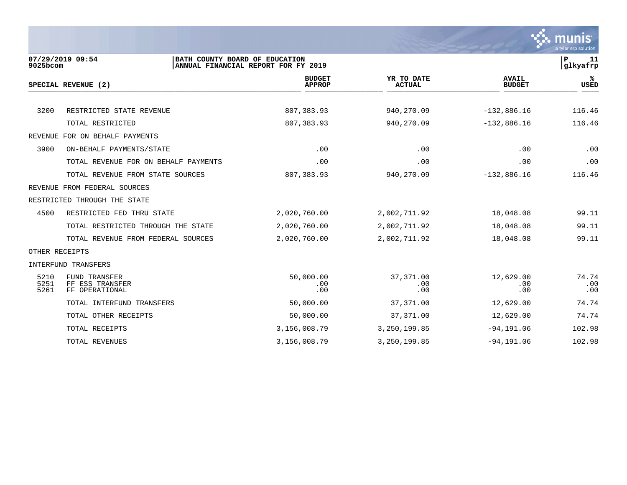

| 9025bcom             | 07/29/2019 09:54<br>BATH COUNTY BOARD OF EDUCATION        | ANNUAL FINANCIAL REPORT FOR FY 2019 |                             |                               | $\mathbf P$<br>11<br> glkyafrp |
|----------------------|-----------------------------------------------------------|-------------------------------------|-----------------------------|-------------------------------|--------------------------------|
|                      | SPECIAL REVENUE (2)                                       | <b>BUDGET</b><br><b>APPROP</b>      | YR TO DATE<br><b>ACTUAL</b> | <b>AVAIL</b><br><b>BUDGET</b> | %ะ<br><b>USED</b>              |
|                      |                                                           |                                     |                             |                               |                                |
| 3200                 | RESTRICTED STATE REVENUE                                  | 807, 383.93                         | 940,270.09                  | $-132,886.16$                 | 116.46                         |
|                      | TOTAL RESTRICTED                                          | 807,383.93                          | 940,270.09                  | $-132,886.16$                 | 116.46                         |
|                      | REVENUE FOR ON BEHALF PAYMENTS                            |                                     |                             |                               |                                |
| 3900                 | ON-BEHALF PAYMENTS/STATE                                  | .00                                 | .00                         | .00                           | .00                            |
|                      | TOTAL REVENUE FOR ON BEHALF PAYMENTS                      | .00                                 | .00                         | .00                           | .00                            |
|                      | TOTAL REVENUE FROM STATE SOURCES                          | 807,383.93                          | 940, 270.09                 | $-132,886.16$                 | 116.46                         |
|                      | REVENUE FROM FEDERAL SOURCES                              |                                     |                             |                               |                                |
|                      | RESTRICTED THROUGH THE STATE                              |                                     |                             |                               |                                |
| 4500                 | RESTRICTED FED THRU STATE                                 | 2,020,760.00                        | 2,002,711.92                | 18,048.08                     | 99.11                          |
|                      | TOTAL RESTRICTED THROUGH THE STATE                        | 2,020,760.00                        | 2,002,711.92                | 18,048.08                     | 99.11                          |
|                      | TOTAL REVENUE FROM FEDERAL SOURCES                        | 2,020,760.00                        | 2,002,711.92                | 18,048.08                     | 99.11                          |
| OTHER RECEIPTS       |                                                           |                                     |                             |                               |                                |
|                      | INTERFUND TRANSFERS                                       |                                     |                             |                               |                                |
| 5210<br>5251<br>5261 | <b>FUND TRANSFER</b><br>FF ESS TRANSFER<br>FF OPERATIONAL | 50,000.00<br>.00<br>.00             | 37, 371, 00<br>.00<br>.00   | 12,629.00<br>.00<br>.00       | 74.74<br>.00<br>.00            |
|                      | TOTAL INTERFUND TRANSFERS                                 | 50,000.00                           | 37,371.00                   | 12,629.00                     | 74.74                          |
|                      | TOTAL OTHER RECEIPTS                                      | 50,000.00                           | 37,371.00                   | 12,629.00                     | 74.74                          |
|                      | TOTAL RECEIPTS                                            | 3,156,008.79                        | 3, 250, 199.85              | $-94, 191.06$                 | 102.98                         |
|                      | TOTAL REVENUES                                            | 3,156,008.79                        | 3,250,199.85                | $-94, 191.06$                 | 102.98                         |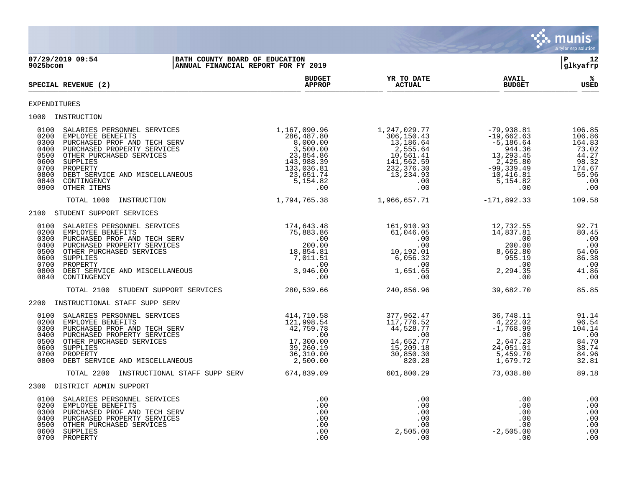

**07/29/2019 09:54 |BATH COUNTY BOARD OF EDUCATION |P 12 ANNUAL FINANCIAL REPORT FOR FY 2019 BUDGET YR TO DATE AVAIL %**  $SPECTAL REVIEW (2)$  $\frac{\text{AFR} + \text{R}}{\text{AFR}}$ EXPENDITURES 1000 INSTRUCTION<br>0100 SALARIES PERSONNEL SERVICES<br>0200 EMPLOYEE BENEFITS<br>0300 PURCHASED PROF AND TECH SERV<br>0400 PURCHASED PROPERTY SERVICES<br>0500 OTHER PURCHASED SERVICES 0100 SALARIES PERSONNEL SERVICES 1,167,090.96 1,247,029.77 -79,938.81 106.85 0200 EMPLOYEE BENEFITS 286,487.80 306,150.43 -19,662.63 106.86 0300 PURCHASED PROF AND TECH SERV 8,000.00 8,000.00 13,186.64 -5,186.64 -5,186.64 164.83 0400 PURCHASED PROPERTY SERVICES 3,500.00 2,555.64 944.36 73.02 0500 OTHER PURCHASED SERVICES 23,854.86 10,561.41 13,293.45 44.27 0600 SUPPLIES 143,988.39 141,562.59 2,425.80 98.32 0700 PROPERTY 133,036.81 232,376.30 -99,339.49 174.67 0800 DEBT SERVICE AND MISCELLANEOUS 123,651.74 13,234.93 10,416.81 55.96 0840 CONTINGENCY 5,154.82 .00 5,154.82 .00 0900 OTHER ITEMS .00 .00 .00 .00 TOTAL 1000 INSTRUCTION 1,794,765.38 1,966,657.71 -171,892.33 109.58 2100 STUDENT SUPPORT SERVICES 0100 SALARIES PERSONNEL SERVICES 174,643.48 161,910.93 12,732.55 92.71 0200 EMPLOYEE BENEFITS 75,883.86 61,046.05 14,837.81 80.45 0300 PURCHASED PROF AND TECH SERV .00 .00 .00 .00 0400 PURCHASED PROPERTY SERVICES 200.00 .00 200.00 .00 0500 OTHER PURCHASED SERVICES 64.06 (18,854.81 10,192.01 8,662.80 54.06 0600 SUPPLIES 7,011.51 6,056.32 955.19 86.38 0700 PROPERTY .00 .00 .00 .00 0800 DEBT SERVICE AND MISCELLANEOUS 3,946.00 1,651.65 2,294.35 41.86 0840 CONTINGENCY .00 .00 .00 .00 TOTAL 2100 STUDENT SUPPORT SERVICES 280,539.66 240,856.96 39,682.70 85.85 2200 INSTRUCTIONAL STAFF SUPP SERV 0100 SALARIES PERSONNEL SERVICES 414,710.58 377,962.47 36,748.11 91.14 0200 EMPLOYEE BENEFITS 121,998.54 117,776.52 4,222.02 96.54 0300 PURCHASED PROF AND TECH SERV 42,759.78 44,528.77 -1,768.99 104.14 0400 PURCHASED PROPERTY SERVICES .00 .00 .00 .00 0500 OTHER PURCHASED SERVICES 17,300.00 14,652.77 2,647.23 84.70 0600 SUPPLIES 39,260.19 15,209.18 24,051.01 38.74 0700 PROPERTY 36,310.00 30,850.30 5,459.70 84.96 0800 DEBT SERVICE AND MISCELLANEOUS 2,500.00 820.28 1,679.72 32.81 TOTAL 2200 INSTRUCTIONAL STAFF SUPP SERV 674,839.09 601,800.29 73,038.80 89.18 2300 DISTRICT ADMIN SUPPORT 0100 SALARIES PERSONNEL SERVICES .00 .00 .00 .00 0200 EMPLOYEE BENEFITS .00 .00 .00 .00 0300 PURCHASED PROF AND TECH SERV .00 .00 .00 .00 0400 PURCHASED PROPERTY SERVICES .00 .00 .00 .00 0500 OTHER PURCHASED SERVICES .00 .00 .00 .00 0600 SUPPLIES .00 2,505.00 -2,505.00 .00 0700 PROPERTY .00 .00 .00 .00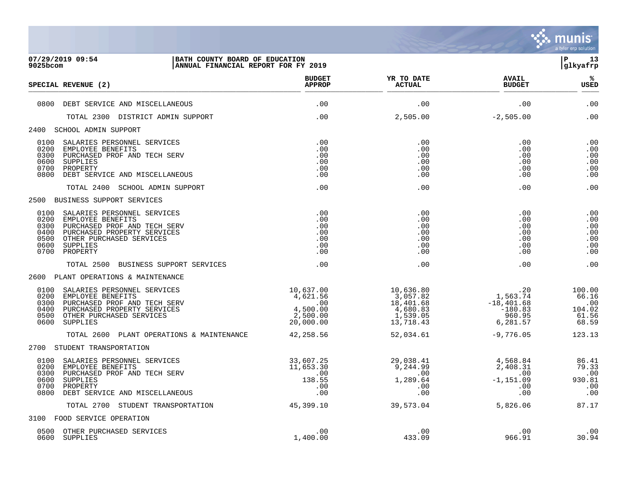

| 9025bcom                                             | 07/29/2019 09:54<br>BATH COUNTY BOARD OF EDUCATION<br>ANNUAL FINANCIAL REPORT FOR FY 2019                                                                           |                                                                   |                                                                         |                                                                            | lР.<br>13<br>glkyafrp                              |
|------------------------------------------------------|---------------------------------------------------------------------------------------------------------------------------------------------------------------------|-------------------------------------------------------------------|-------------------------------------------------------------------------|----------------------------------------------------------------------------|----------------------------------------------------|
|                                                      | SPECIAL REVENUE (2)                                                                                                                                                 | <b>BUDGET</b><br><b>APPROP</b>                                    | YR TO DATE<br><b>ACTUAL</b>                                             | <b>AVAIL</b><br><b>BUDGET</b>                                              | %ะ<br><b>USED</b>                                  |
|                                                      | 0800 DEBT SERVICE AND MISCELLANEOUS                                                                                                                                 | .00                                                               | .00                                                                     | .00                                                                        | .00                                                |
|                                                      | TOTAL 2300 DISTRICT ADMIN SUPPORT                                                                                                                                   | .00                                                               | 2,505.00                                                                | $-2,505.00$                                                                | .00                                                |
|                                                      | 2400 SCHOOL ADMIN SUPPORT                                                                                                                                           |                                                                   |                                                                         |                                                                            |                                                    |
| 0100<br>0200<br>0300<br>0600<br>0700<br>0800         | SALARIES PERSONNEL SERVICES<br>EMPLOYEE BENEFITS<br>PURCHASED PROF AND TECH SERV<br>SUPPLIES<br>PROPERTY<br>DEBT SERVICE AND MISCELLANEOUS                          | .00<br>.00<br>.00<br>.00<br>.00<br>.00                            | .00<br>.00<br>.00<br>.00<br>.00<br>.00                                  | .00<br>.00<br>.00<br>.00<br>.00<br>.00                                     | .00<br>.00<br>.00<br>.00<br>.00<br>.00             |
|                                                      | TOTAL 2400 SCHOOL ADMIN SUPPORT                                                                                                                                     | .00                                                               | .00                                                                     | .00                                                                        | .00                                                |
|                                                      | 2500 BUSINESS SUPPORT SERVICES                                                                                                                                      |                                                                   |                                                                         |                                                                            |                                                    |
| 0100<br>0200<br>0300<br>0400<br>0500<br>0600<br>0700 | SALARIES PERSONNEL SERVICES<br>EMPLOYEE BENEFITS<br>PURCHASED PROF AND TECH SERV<br>PURCHASED PROPERTY SERVICES<br>OTHER PURCHASED SERVICES<br>SUPPLIES<br>PROPERTY | .00<br>.00<br>.00<br>.00<br>.00<br>.00<br>.00                     | .00<br>.00<br>.00<br>.00<br>.00<br>.00<br>.00                           | .00<br>.00<br>.00<br>.00<br>.00<br>.00<br>.00                              | .00<br>.00<br>.00<br>.00<br>.00<br>.00<br>.00      |
|                                                      | TOTAL 2500 BUSINESS SUPPORT SERVICES                                                                                                                                | .00                                                               | .00                                                                     | .00                                                                        | .00                                                |
|                                                      | 2600 PLANT OPERATIONS & MAINTENANCE                                                                                                                                 |                                                                   |                                                                         |                                                                            |                                                    |
| 0100<br>0200<br>0300<br>0400<br>0500<br>0600         | SALARIES PERSONNEL SERVICES<br>EMPLOYEE BENEFITS<br>PURCHASED PROF AND TECH SERV<br>PURCHASED PROPERTY SERVICES<br>OTHER PURCHASED SERVICES<br>SUPPLIES             | 10,637.00<br>4,621.56<br>.00<br>4,500.00<br>2,500.00<br>20,000.00 | 10,636.80<br>3,057.82<br>18,401.68<br>4,680.83<br>1,539.05<br>13,718.43 | $1,563.74$<br>$-101.68$<br>$-18,401.68$<br>$-180.83$<br>960.95<br>6,281.57 | 100.00<br>66.16<br>.00<br>104.02<br>61.56<br>68.59 |
|                                                      | TOTAL 2600 PLANT OPERATIONS & MAINTENANCE                                                                                                                           | 42,258.56                                                         | 52,034.61                                                               | $-9,776.05$                                                                | 123.13                                             |
|                                                      | 2700 STUDENT TRANSPORTATION                                                                                                                                         |                                                                   |                                                                         |                                                                            |                                                    |
| 0100<br>0200<br>0300<br>0600<br>0700<br>0800         | SALARIES PERSONNEL SERVICES<br>EMPLOYEE BENEFITS<br>PURCHASED PROF AND TECH SERV<br>SUPPLIES<br>PROPERTY<br>DEBT SERVICE AND MISCELLANEOUS                          | 33,607.25<br>11,653.30<br>.00<br>138.55<br>.00<br>.00             | 29,030.1<br>9,244.99<br>00<br>.00<br>1,289.64<br>.00<br>.00             | 4,568.84<br>2,408.31<br>.00<br>$-1,151.09$<br>.00<br>.00                   | 86.41<br>79.33<br>.00<br>930.81<br>.00<br>.00      |
|                                                      | TOTAL 2700 STUDENT TRANSPORTATION                                                                                                                                   | 45, 399.10                                                        | 39,573.04                                                               | 5,826.06                                                                   | 87.17                                              |
|                                                      | 3100 FOOD SERVICE OPERATION                                                                                                                                         |                                                                   |                                                                         |                                                                            |                                                    |
| 0600                                                 | 0500 OTHER PURCHASED SERVICES<br>SUPPLIES                                                                                                                           | .00<br>1,400.00                                                   | .00<br>433.09                                                           | .00<br>966.91                                                              | .00<br>30.94                                       |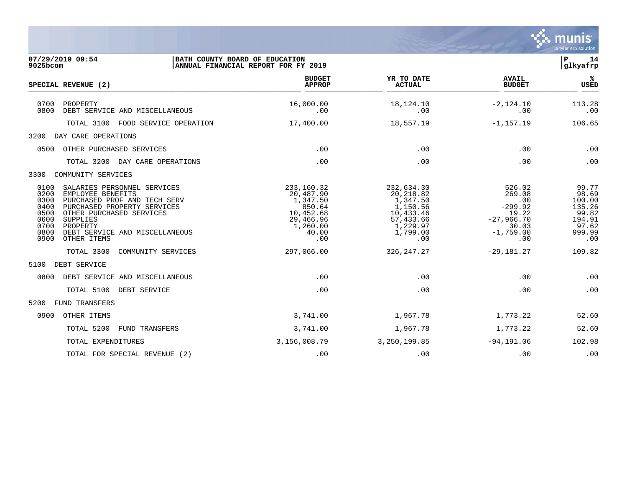

| $9025$ bcom                                                          | 07/29/2019 09:54                                                                                                                                                                                                     | BATH COUNTY BOARD OF EDUCATION<br>ANNUAL FINANCIAL REPORT FOR FY 2019                                 |                                                                                                          |                                                                                              | $\mathbf{P}$<br>14<br>glkyafrp                                                  |
|----------------------------------------------------------------------|----------------------------------------------------------------------------------------------------------------------------------------------------------------------------------------------------------------------|-------------------------------------------------------------------------------------------------------|----------------------------------------------------------------------------------------------------------|----------------------------------------------------------------------------------------------|---------------------------------------------------------------------------------|
|                                                                      | SPECIAL REVENUE (2)                                                                                                                                                                                                  | <b>BUDGET</b><br><b>APPROP</b>                                                                        | YR TO DATE<br><b>ACTUAL</b>                                                                              | <b>AVAIL</b><br><b>BUDGET</b>                                                                | %ะ<br><b>USED</b>                                                               |
| 0700<br>0800                                                         | PROPERTY<br>DEBT SERVICE AND MISCELLANEOUS                                                                                                                                                                           | 16,000.00<br>.00                                                                                      | 18,124.10<br>.00                                                                                         | $-2,124.10$<br>.00                                                                           | 113.28<br>.00                                                                   |
|                                                                      | TOTAL 3100 FOOD SERVICE OPERATION                                                                                                                                                                                    | 17,400.00                                                                                             | 18,557.19                                                                                                | $-1, 157.19$                                                                                 | 106.65                                                                          |
| 3200                                                                 | DAY CARE OPERATIONS                                                                                                                                                                                                  |                                                                                                       |                                                                                                          |                                                                                              |                                                                                 |
| 0500                                                                 | OTHER PURCHASED SERVICES                                                                                                                                                                                             | .00                                                                                                   | .00                                                                                                      | .00                                                                                          | .00                                                                             |
|                                                                      | TOTAL 3200<br>DAY CARE OPERATIONS                                                                                                                                                                                    | .00                                                                                                   | .00                                                                                                      | .00                                                                                          | .00                                                                             |
| 3300                                                                 | COMMUNITY SERVICES                                                                                                                                                                                                   |                                                                                                       |                                                                                                          |                                                                                              |                                                                                 |
| 0100<br>0200<br>0300<br>0400<br>0500<br>0600<br>0700<br>0800<br>0900 | SALARIES PERSONNEL SERVICES<br>EMPLOYEE BENEFITS<br>PURCHASED PROF AND TECH SERV<br>PURCHASED PROPERTY SERVICES<br>OTHER PURCHASED SERVICES<br>SUPPLIES<br>PROPERTY<br>DEBT SERVICE AND MISCELLANEOUS<br>OTHER ITEMS | 233, 160. 32<br>20,487.90<br>1,347.50<br>850.64<br>10,452.68<br>29,466.96<br>1,260.00<br>40.00<br>.00 | 232,634.30<br>20,218.82<br>1,347.50<br>1,150.56<br>10,433.46<br>57,433.66<br>1,229.97<br>1,799.00<br>.00 | 526.02<br>269.08<br>.00<br>$-299.92$<br>19.22<br>$-27,966.70$<br>30.03<br>$-1,759.00$<br>.00 | 99.77<br>98.69<br>100.00<br>135.26<br>99.82<br>194.91<br>97.62<br>999.99<br>.00 |
|                                                                      | TOTAL 3300<br>COMMUNITY SERVICES                                                                                                                                                                                     | 297,066.00                                                                                            | 326, 247.27                                                                                              | $-29,181.27$                                                                                 | 109.82                                                                          |
| 5100                                                                 | DEBT SERVICE                                                                                                                                                                                                         |                                                                                                       |                                                                                                          |                                                                                              |                                                                                 |
| 0800                                                                 | DEBT SERVICE AND MISCELLANEOUS                                                                                                                                                                                       | .00                                                                                                   | .00                                                                                                      | .00                                                                                          | .00                                                                             |
|                                                                      | TOTAL 5100<br>DEBT SERVICE                                                                                                                                                                                           | .00                                                                                                   | .00                                                                                                      | .00                                                                                          | .00                                                                             |
| 5200                                                                 | FUND TRANSFERS                                                                                                                                                                                                       |                                                                                                       |                                                                                                          |                                                                                              |                                                                                 |
| 0900                                                                 | OTHER ITEMS                                                                                                                                                                                                          | 3,741.00                                                                                              | 1,967.78                                                                                                 | 1,773.22                                                                                     | 52.60                                                                           |
|                                                                      | TOTAL 5200<br>FUND TRANSFERS                                                                                                                                                                                         | 3,741.00                                                                                              | 1,967.78                                                                                                 | 1,773.22                                                                                     | 52.60                                                                           |
|                                                                      | TOTAL EXPENDITURES                                                                                                                                                                                                   | 3,156,008.79                                                                                          | 3,250,199.85                                                                                             | $-94, 191.06$                                                                                | 102.98                                                                          |
|                                                                      | TOTAL FOR SPECIAL REVENUE (2)                                                                                                                                                                                        | .00                                                                                                   | .00                                                                                                      | .00                                                                                          | .00                                                                             |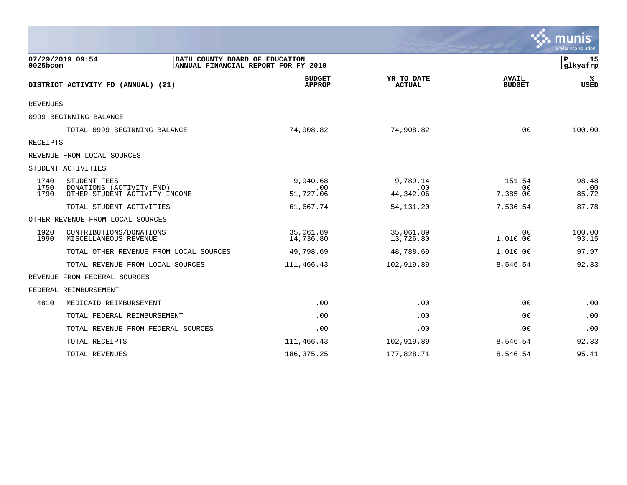|                      |                                                                                           |                                |                              |                               | a tyler erp solution  |
|----------------------|-------------------------------------------------------------------------------------------|--------------------------------|------------------------------|-------------------------------|-----------------------|
| 9025bcom             | 07/29/2019 09:54<br>BATH COUNTY BOARD OF EDUCATION<br>ANNUAL FINANCIAL REPORT FOR FY 2019 |                                |                              |                               | 15<br>P<br> glkyafrp  |
|                      | DISTRICT ACTIVITY FD (ANNUAL) (21)                                                        | <b>BUDGET</b><br><b>APPROP</b> | YR TO DATE<br><b>ACTUAL</b>  | <b>AVAIL</b><br><b>BUDGET</b> | ℁<br><b>USED</b>      |
| <b>REVENUES</b>      |                                                                                           |                                |                              |                               |                       |
|                      | 0999 BEGINNING BALANCE                                                                    |                                |                              |                               |                       |
|                      | TOTAL 0999 BEGINNING BALANCE                                                              | 74,908.82                      | 74,908.82                    | .00                           | 100.00                |
| RECEIPTS             |                                                                                           |                                |                              |                               |                       |
|                      | REVENUE FROM LOCAL SOURCES                                                                |                                |                              |                               |                       |
|                      | STUDENT ACTIVITIES                                                                        |                                |                              |                               |                       |
| 1740<br>1750<br>1790 | STUDENT FEES<br>DONATIONS (ACTIVITY FND)<br>OTHER STUDENT ACTIVITY INCOME                 | 9,940.68<br>.00<br>51,727.06   | 9,789.14<br>.00<br>44,342.06 | 151.54<br>.00<br>7,385.00     | 98.48<br>.00<br>85.72 |
|                      | TOTAL STUDENT ACTIVITIES                                                                  | 61,667.74                      | 54, 131. 20                  | 7,536.54                      | 87.78                 |
|                      | OTHER REVENUE FROM LOCAL SOURCES                                                          |                                |                              |                               |                       |
| 1920<br>1990         | CONTRIBUTIONS/DONATIONS<br>MISCELLANEOUS REVENUE                                          | 35,061.89<br>14,736.80         | 35,061.89<br>13,726.80       | .00<br>1,010.00               | 100.00<br>93.15       |
|                      | TOTAL OTHER REVENUE FROM LOCAL SOURCES                                                    | 49,798.69                      | 48,788.69                    | 1,010.00                      | 97.97                 |
|                      | TOTAL REVENUE FROM LOCAL SOURCES                                                          | 111,466.43                     | 102,919.89                   | 8,546.54                      | 92.33                 |
|                      | REVENUE FROM FEDERAL SOURCES                                                              |                                |                              |                               |                       |
|                      | FEDERAL REIMBURSEMENT                                                                     |                                |                              |                               |                       |
| 4810                 | MEDICAID REIMBURSEMENT                                                                    | .00                            | .00                          | .00                           | .00                   |
|                      | TOTAL FEDERAL REIMBURSEMENT                                                               | .00                            | .00                          | .00                           | .00                   |
|                      | TOTAL REVENUE FROM FEDERAL SOURCES                                                        | .00                            | .00                          | .00                           | .00                   |
|                      | TOTAL RECEIPTS                                                                            | 111,466.43                     | 102,919.89                   | 8,546.54                      | 92.33                 |
|                      | TOTAL REVENUES                                                                            | 186, 375. 25                   | 177,828.71                   | 8,546.54                      | 95.41                 |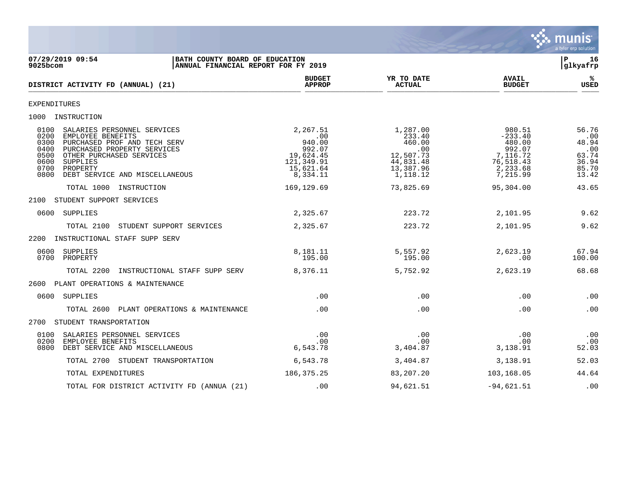

| 07/29/2019 09:54<br>BATH COUNTY BOARD OF EDUCATION<br>$9025$ bcom<br>ANNUAL FINANCIAL REPORT FOR FY 2019                                                                                                                                                              |                                                                                         |                                                                                        |                                                                                          | 16<br>l P<br>glkyafrp                                            |
|-----------------------------------------------------------------------------------------------------------------------------------------------------------------------------------------------------------------------------------------------------------------------|-----------------------------------------------------------------------------------------|----------------------------------------------------------------------------------------|------------------------------------------------------------------------------------------|------------------------------------------------------------------|
| DISTRICT ACTIVITY FD (ANNUAL) (21)                                                                                                                                                                                                                                    | <b>BUDGET</b><br><b>APPROP</b>                                                          | YR TO DATE<br><b>ACTUAL</b>                                                            | <b>AVAIL</b><br><b>BUDGET</b>                                                            | %ะ<br><b>USED</b>                                                |
| <b>EXPENDITURES</b>                                                                                                                                                                                                                                                   |                                                                                         |                                                                                        |                                                                                          |                                                                  |
| 1000 INSTRUCTION                                                                                                                                                                                                                                                      |                                                                                         |                                                                                        |                                                                                          |                                                                  |
| 0100<br>SALARIES PERSONNEL SERVICES<br>0200<br>EMPLOYEE BENEFITS<br>0300<br>PURCHASED PROF AND TECH SERV<br>0400<br>PURCHASED PROPERTY SERVICES<br>0500<br>OTHER PURCHASED SERVICES<br>0600<br>SUPPLIES<br>0700<br>PROPERTY<br>0800<br>DEBT SERVICE AND MISCELLANEOUS | 2,267.51<br>00.<br>940.00<br>992.07<br>19,624.45<br>121,349.91<br>15,621.64<br>8,334.11 | 1,287.00<br>233.40<br>460.00<br>.00<br>12,507.73<br>44,831.48<br>13,387.96<br>1,118.12 | 980.51<br>$-233.40$<br>480.00<br>992.07<br>7,116.72<br>76,518.43<br>2,233.68<br>7,215.99 | 56.76<br>.00<br>48.94<br>.00<br>63.74<br>36.94<br>85.70<br>13.42 |
| TOTAL 1000 INSTRUCTION                                                                                                                                                                                                                                                | 169,129.69                                                                              | 73,825.69                                                                              | 95,304.00                                                                                | 43.65                                                            |
| STUDENT SUPPORT SERVICES<br>2100                                                                                                                                                                                                                                      |                                                                                         |                                                                                        |                                                                                          |                                                                  |
| 0600<br>SUPPLIES                                                                                                                                                                                                                                                      | 2,325.67                                                                                | 223.72                                                                                 | 2,101.95                                                                                 | 9.62                                                             |
| STUDENT SUPPORT SERVICES<br>TOTAL 2100                                                                                                                                                                                                                                | 2,325.67                                                                                | 223.72                                                                                 | 2,101.95                                                                                 | 9.62                                                             |
| 2200 INSTRUCTIONAL STAFF SUPP SERV                                                                                                                                                                                                                                    |                                                                                         |                                                                                        |                                                                                          |                                                                  |
| 0600<br>SUPPLIES<br>0700 PROPERTY                                                                                                                                                                                                                                     | 8,181.11<br>195.00                                                                      | 5,557.92<br>195.00                                                                     | 2,623.19<br>.00                                                                          | 67.94<br>100.00                                                  |
| TOTAL 2200<br>INSTRUCTIONAL STAFF SUPP SERV                                                                                                                                                                                                                           | 8,376.11                                                                                | 5,752.92                                                                               | 2,623.19                                                                                 | 68.68                                                            |
| 2600 PLANT OPERATIONS & MAINTENANCE                                                                                                                                                                                                                                   |                                                                                         |                                                                                        |                                                                                          |                                                                  |
| 0600<br>SUPPLIES                                                                                                                                                                                                                                                      | .00                                                                                     | .00                                                                                    | .00                                                                                      | .00                                                              |
| TOTAL 2600<br>PLANT OPERATIONS & MAINTENANCE                                                                                                                                                                                                                          | .00                                                                                     | .00                                                                                    | .00                                                                                      | .00                                                              |
| STUDENT TRANSPORTATION<br>2700                                                                                                                                                                                                                                        |                                                                                         |                                                                                        |                                                                                          |                                                                  |
| 0100<br>SALARIES PERSONNEL SERVICES<br>0200<br>EMPLOYEE BENEFITS<br>0800<br>DEBT SERVICE AND MISCELLANEOUS                                                                                                                                                            | .00<br>.00<br>6,543.78                                                                  | .00<br>.00<br>3,404.87                                                                 | .00<br>.00<br>3,138.91                                                                   | .00<br>.00<br>52.03                                              |
| TOTAL 2700 STUDENT TRANSPORTATION                                                                                                                                                                                                                                     | 6,543.78                                                                                | 3,404.87                                                                               | 3,138.91                                                                                 | 52.03                                                            |
| TOTAL EXPENDITURES                                                                                                                                                                                                                                                    | 186, 375. 25                                                                            | 83,207.20                                                                              | 103,168.05                                                                               | 44.64                                                            |
| TOTAL FOR DISTRICT ACTIVITY FD (ANNUA (21)                                                                                                                                                                                                                            | .00                                                                                     | 94,621.51                                                                              | $-94,621.51$                                                                             | .00                                                              |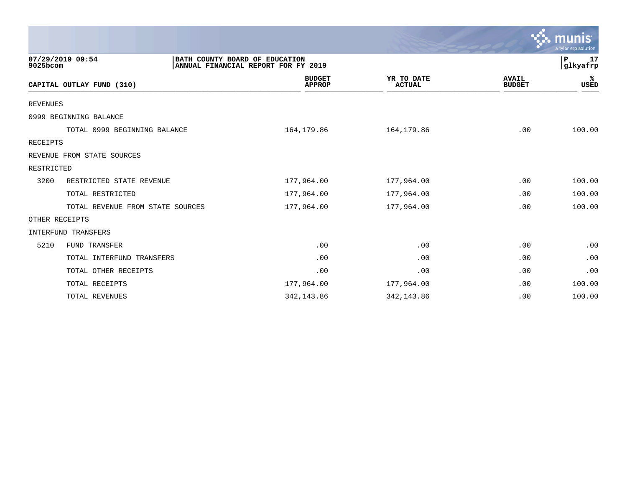|                 |                                                    |                                     |                             |                               | $\sim$ munis<br>a tyler erp solution |
|-----------------|----------------------------------------------------|-------------------------------------|-----------------------------|-------------------------------|--------------------------------------|
| 9025bcom        | 07/29/2019 09:54<br>BATH COUNTY BOARD OF EDUCATION | ANNUAL FINANCIAL REPORT FOR FY 2019 |                             |                               | P<br>17<br>glkyafrp                  |
|                 | CAPITAL OUTLAY FUND (310)                          | <b>BUDGET</b><br><b>APPROP</b>      | YR TO DATE<br><b>ACTUAL</b> | <b>AVAIL</b><br><b>BUDGET</b> | %ะ<br><b>USED</b>                    |
| <b>REVENUES</b> |                                                    |                                     |                             |                               |                                      |
|                 | 0999 BEGINNING BALANCE                             |                                     |                             |                               |                                      |
|                 | TOTAL 0999 BEGINNING BALANCE                       | 164,179.86                          | 164, 179.86                 | .00                           | 100.00                               |
| RECEIPTS        |                                                    |                                     |                             |                               |                                      |
|                 | REVENUE FROM STATE SOURCES                         |                                     |                             |                               |                                      |
| RESTRICTED      |                                                    |                                     |                             |                               |                                      |
| 3200            | RESTRICTED STATE REVENUE                           | 177,964.00                          | 177,964.00                  | .00                           | 100.00                               |
|                 | TOTAL RESTRICTED                                   | 177,964.00                          | 177,964.00                  | .00                           | 100.00                               |
|                 | TOTAL REVENUE FROM STATE SOURCES                   | 177,964.00                          | 177,964.00                  | .00                           | 100.00                               |
|                 | OTHER RECEIPTS                                     |                                     |                             |                               |                                      |
|                 | <b>INTERFUND TRANSFERS</b>                         |                                     |                             |                               |                                      |
| 5210            | <b>FUND TRANSFER</b>                               | .00                                 | .00                         | .00                           | .00                                  |
|                 | TOTAL INTERFUND TRANSFERS                          | .00                                 | .00                         | .00                           | .00                                  |
|                 | TOTAL OTHER RECEIPTS                               | .00                                 | .00                         | .00                           | .00                                  |
|                 | TOTAL RECEIPTS                                     | 177,964.00                          | 177,964.00                  | .00                           | 100.00                               |
|                 | TOTAL REVENUES                                     | 342, 143.86                         | 342, 143.86                 | .00                           | 100.00                               |

 $\sim$   $\sim$   $\sim$   $\sim$   $\sim$   $\sim$   $\sim$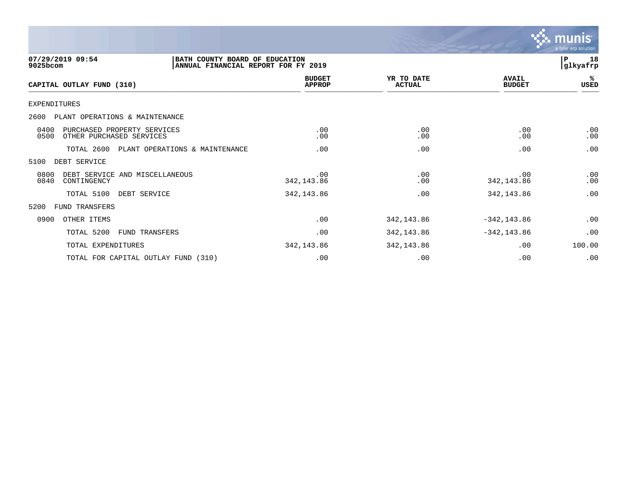

| 07/29/2019 09:54<br>9025bcom                                            | BATH COUNTY BOARD OF EDUCATION<br>ANNUAL FINANCIAL REPORT FOR FY 2019 |                                |                             |                               | 18<br>P<br> glkyafrp |
|-------------------------------------------------------------------------|-----------------------------------------------------------------------|--------------------------------|-----------------------------|-------------------------------|----------------------|
| CAPITAL OUTLAY FUND (310)                                               |                                                                       | <b>BUDGET</b><br><b>APPROP</b> | YR TO DATE<br><b>ACTUAL</b> | <b>AVAIL</b><br><b>BUDGET</b> | %ะ<br>USED           |
| <b>EXPENDITURES</b>                                                     |                                                                       |                                |                             |                               |                      |
| 2600<br>PLANT OPERATIONS & MAINTENANCE                                  |                                                                       |                                |                             |                               |                      |
| 0400<br>PURCHASED PROPERTY SERVICES<br>0500<br>OTHER PURCHASED SERVICES |                                                                       | .00<br>.00                     | .00<br>.00                  | .00<br>.00                    | .00<br>.00           |
| TOTAL 2600                                                              | PLANT OPERATIONS & MAINTENANCE                                        | .00                            | .00                         | .00                           | .00                  |
| 5100<br>DEBT SERVICE                                                    |                                                                       |                                |                             |                               |                      |
| 0800<br>DEBT SERVICE AND MISCELLANEOUS<br>0840<br>CONTINGENCY           |                                                                       | .00<br>342, 143.86             | .00<br>.00                  | .00<br>342, 143.86            | .00<br>.00           |
| TOTAL 5100                                                              | DEBT SERVICE                                                          | 342,143.86                     | .00                         | 342, 143.86                   | .00                  |
| 5200<br>FUND TRANSFERS                                                  |                                                                       |                                |                             |                               |                      |
| 0900<br>OTHER ITEMS                                                     |                                                                       | .00                            | 342, 143.86                 | $-342, 143.86$                | .00                  |
| TOTAL 5200                                                              | <b>FUND TRANSFERS</b>                                                 | .00                            | 342,143.86                  | $-342, 143.86$                | .00                  |
| TOTAL EXPENDITURES                                                      |                                                                       | 342, 143.86                    | 342, 143.86                 | .00                           | 100.00               |
| TOTAL FOR CAPITAL OUTLAY FUND (310)                                     |                                                                       | .00                            | .00                         | .00                           | .00                  |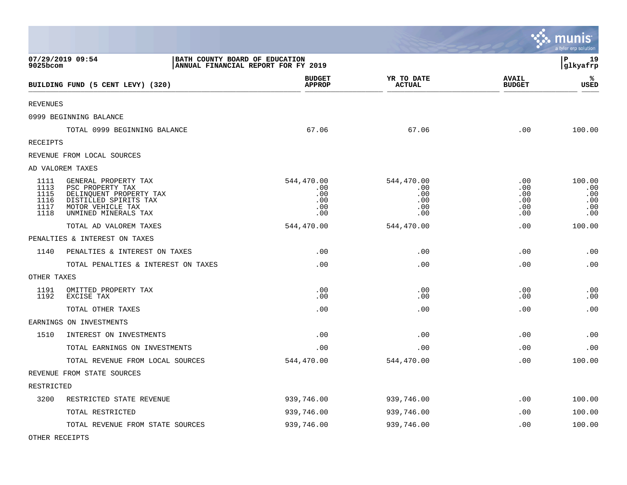|                                              |                                                                                                                                           |                                                                       |                                               |                                        | munis<br>a tyler erp solution             |
|----------------------------------------------|-------------------------------------------------------------------------------------------------------------------------------------------|-----------------------------------------------------------------------|-----------------------------------------------|----------------------------------------|-------------------------------------------|
| 9025bcom                                     | 07/29/2019 09:54                                                                                                                          | BATH COUNTY BOARD OF EDUCATION<br>ANNUAL FINANCIAL REPORT FOR FY 2019 |                                               |                                        | l P<br>19<br>glkyafrp                     |
|                                              | BUILDING FUND (5 CENT LEVY) (320)                                                                                                         | <b>BUDGET</b><br><b>APPROP</b>                                        | YR TO DATE<br><b>ACTUAL</b>                   | <b>AVAIL</b><br><b>BUDGET</b>          | ℁<br><b>USED</b>                          |
| <b>REVENUES</b>                              |                                                                                                                                           |                                                                       |                                               |                                        |                                           |
|                                              | 0999 BEGINNING BALANCE                                                                                                                    |                                                                       |                                               |                                        |                                           |
|                                              | TOTAL 0999 BEGINNING BALANCE                                                                                                              | 67.06                                                                 | 67.06                                         | .00                                    | 100.00                                    |
| RECEIPTS                                     |                                                                                                                                           |                                                                       |                                               |                                        |                                           |
|                                              | REVENUE FROM LOCAL SOURCES                                                                                                                |                                                                       |                                               |                                        |                                           |
|                                              | AD VALOREM TAXES                                                                                                                          |                                                                       |                                               |                                        |                                           |
| 1111<br>1113<br>1115<br>1116<br>1117<br>1118 | GENERAL PROPERTY TAX<br>PSC PROPERTY TAX<br>DELINQUENT PROPERTY TAX<br>DISTILLED SPIRITS TAX<br>MOTOR VEHICLE TAX<br>UNMINED MINERALS TAX | 544,470.00<br>.00<br>.00<br>.00<br>.00<br>.00                         | 544,470.00<br>.00<br>.00<br>.00<br>.00<br>.00 | .00<br>.00<br>.00<br>.00<br>.00<br>.00 | 100.00<br>.00<br>.00<br>.00<br>.00<br>.00 |
|                                              | TOTAL AD VALOREM TAXES                                                                                                                    | 544,470.00                                                            | 544,470.00                                    | .00                                    | 100.00                                    |
|                                              | PENALTIES & INTEREST ON TAXES                                                                                                             |                                                                       |                                               |                                        |                                           |
| 1140                                         | PENALTIES & INTEREST ON TAXES                                                                                                             | .00                                                                   | .00                                           | .00                                    | .00                                       |
|                                              | TOTAL PENALTIES & INTEREST ON TAXES                                                                                                       | .00                                                                   | .00                                           | .00                                    | .00                                       |
| OTHER TAXES                                  |                                                                                                                                           |                                                                       |                                               |                                        |                                           |
| 1191<br>1192                                 | OMITTED PROPERTY TAX<br>EXCISE TAX                                                                                                        | .00<br>.00                                                            | .00<br>.00                                    | .00<br>.00                             | .00<br>.00                                |
|                                              | TOTAL OTHER TAXES                                                                                                                         | .00                                                                   | .00                                           | .00                                    | .00                                       |
|                                              | EARNINGS ON INVESTMENTS                                                                                                                   |                                                                       |                                               |                                        |                                           |
| 1510                                         | INTEREST ON INVESTMENTS                                                                                                                   | .00                                                                   | .00                                           | .00                                    | .00                                       |
|                                              | TOTAL EARNINGS ON INVESTMENTS                                                                                                             | .00                                                                   | .00                                           | .00                                    | .00                                       |
|                                              | TOTAL REVENUE FROM LOCAL SOURCES                                                                                                          | 544,470.00                                                            | 544,470.00                                    | .00                                    | 100.00                                    |
|                                              | REVENUE FROM STATE SOURCES                                                                                                                |                                                                       |                                               |                                        |                                           |
| RESTRICTED                                   |                                                                                                                                           |                                                                       |                                               |                                        |                                           |
| 3200                                         | RESTRICTED STATE REVENUE                                                                                                                  | 939,746.00                                                            | 939,746.00                                    | .00                                    | 100.00                                    |
|                                              | TOTAL RESTRICTED                                                                                                                          | 939,746.00                                                            | 939,746.00                                    | .00                                    | 100.00                                    |
|                                              | TOTAL REVENUE FROM STATE SOURCES                                                                                                          | 939,746.00                                                            | 939,746.00                                    | .00                                    | 100.00                                    |

 $\mathcal{L}$ 

OTHER RECEIPTS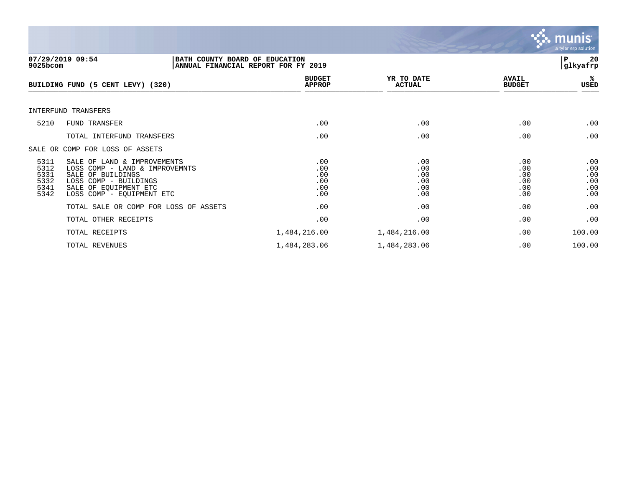

| 9025bcom                                     | 07/29/2019 09:54<br>BATH COUNTY BOARD OF EDUCATION<br>ANNUAL FINANCIAL REPORT FOR FY 2019                                                                         |                                        |                                        |                                        | 20<br>ΙP<br> glkyafrp                  |
|----------------------------------------------|-------------------------------------------------------------------------------------------------------------------------------------------------------------------|----------------------------------------|----------------------------------------|----------------------------------------|----------------------------------------|
|                                              | BUILDING FUND (5 CENT LEVY) (320)                                                                                                                                 | <b>BUDGET</b><br><b>APPROP</b>         | YR TO DATE<br><b>ACTUAL</b>            | <b>AVAIL</b><br><b>BUDGET</b>          | %ร<br>USED                             |
|                                              | INTERFUND TRANSFERS                                                                                                                                               |                                        |                                        |                                        |                                        |
| 5210                                         | FUND TRANSFER                                                                                                                                                     | .00                                    | .00                                    | .00                                    | .00                                    |
|                                              | TOTAL INTERFUND TRANSFERS                                                                                                                                         | .00                                    | .00                                    | .00                                    | .00                                    |
|                                              | SALE OR COMP FOR LOSS OF ASSETS                                                                                                                                   |                                        |                                        |                                        |                                        |
| 5311<br>5312<br>5331<br>5332<br>5341<br>5342 | SALE OF LAND & IMPROVEMENTS<br>LOSS COMP - LAND & IMPROVEMNTS<br>SALE OF BUILDINGS<br>LOSS COMP - BUILDINGS<br>SALE OF EQUIPMENT ETC<br>LOSS COMP - EQUIPMENT ETC | .00<br>.00<br>.00<br>.00<br>.00<br>.00 | .00<br>.00<br>.00<br>.00<br>.00<br>.00 | .00<br>.00<br>.00<br>.00<br>.00<br>.00 | .00<br>.00<br>.00<br>.00<br>.00<br>.00 |
|                                              | TOTAL SALE OR COMP FOR LOSS OF ASSETS                                                                                                                             | .00                                    | .00                                    | .00                                    | .00                                    |
|                                              | TOTAL OTHER RECEIPTS                                                                                                                                              | .00                                    | .00                                    | .00                                    | .00                                    |
|                                              | TOTAL RECEIPTS                                                                                                                                                    | 1,484,216.00                           | 1,484,216.00                           | .00                                    | 100.00                                 |
|                                              | TOTAL REVENUES                                                                                                                                                    | 1,484,283.06                           | 1,484,283.06                           | .00                                    | 100.00                                 |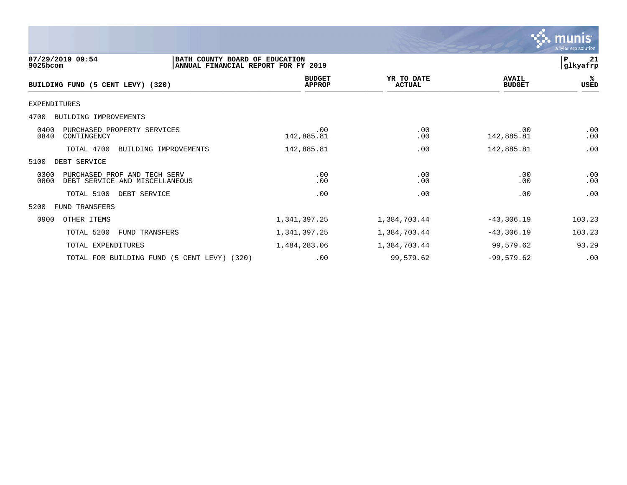|                                                                                                       |                                |                             |                               | munis<br>a tyler erp solution |
|-------------------------------------------------------------------------------------------------------|--------------------------------|-----------------------------|-------------------------------|-------------------------------|
| 07/29/2019 09:54<br>BATH COUNTY BOARD OF EDUCATION<br>9025bcom<br>ANNUAL FINANCIAL REPORT FOR FY 2019 |                                |                             |                               | P<br>-21<br>glkyafrp          |
| BUILDING FUND (5 CENT LEVY) (320)                                                                     | <b>BUDGET</b><br><b>APPROP</b> | YR TO DATE<br><b>ACTUAL</b> | <b>AVAIL</b><br><b>BUDGET</b> | ℁<br>USED                     |
| <b>EXPENDITURES</b>                                                                                   |                                |                             |                               |                               |
| BUILDING IMPROVEMENTS<br>4700                                                                         |                                |                             |                               |                               |
| 0400<br>PURCHASED PROPERTY SERVICES<br>0840<br>CONTINGENCY                                            | .00<br>142,885.81              | .00<br>.00                  | .00<br>142,885.81             | .00<br>.00                    |
| TOTAL 4700<br>BUILDING IMPROVEMENTS                                                                   | 142,885.81                     | .00                         | 142,885.81                    | .00                           |
| DEBT SERVICE<br>5100                                                                                  |                                |                             |                               |                               |
| 0300<br>PURCHASED PROF AND TECH SERV<br>0800<br>DEBT SERVICE AND MISCELLANEOUS                        | .00<br>.00                     | .00<br>.00                  | .00<br>.00                    | .00<br>.00                    |
| TOTAL 5100<br>DEBT SERVICE                                                                            | .00                            | .00                         | .00                           | .00                           |
| <b>FUND TRANSFERS</b><br>5200                                                                         |                                |                             |                               |                               |
| 0900<br>OTHER ITEMS                                                                                   | 1,341,397.25                   | 1,384,703.44                | $-43,306.19$                  | 103.23                        |
| TOTAL 5200<br>FUND TRANSFERS                                                                          | 1,341,397.25                   | 1,384,703.44                | $-43,306.19$                  | 103.23                        |
| TOTAL EXPENDITURES                                                                                    | 1,484,283.06                   | 1,384,703.44                | 99,579.62                     | 93.29                         |
| TOTAL FOR BUILDING FUND (5 CENT LEVY) (320)                                                           | .00                            | 99,579.62                   | $-99,579.62$                  | .00                           |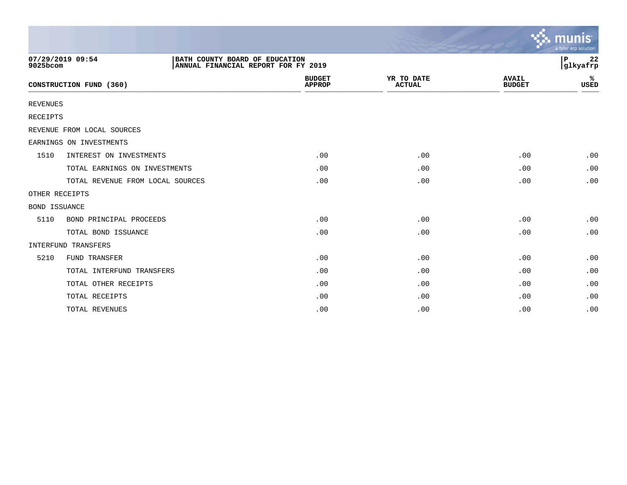|                      |                                  |                                                                       |                                |                             |                               | munis<br>a tyler erp solution |
|----------------------|----------------------------------|-----------------------------------------------------------------------|--------------------------------|-----------------------------|-------------------------------|-------------------------------|
| 9025bcom             | 07/29/2019 09:54                 | BATH COUNTY BOARD OF EDUCATION<br>ANNUAL FINANCIAL REPORT FOR FY 2019 |                                |                             |                               | 22<br>ΙP<br> glkyafrp         |
|                      | CONSTRUCTION FUND (360)          |                                                                       | <b>BUDGET</b><br><b>APPROP</b> | YR TO DATE<br><b>ACTUAL</b> | <b>AVAIL</b><br><b>BUDGET</b> | ℁<br><b>USED</b>              |
| <b>REVENUES</b>      |                                  |                                                                       |                                |                             |                               |                               |
| RECEIPTS             |                                  |                                                                       |                                |                             |                               |                               |
|                      | REVENUE FROM LOCAL SOURCES       |                                                                       |                                |                             |                               |                               |
|                      | EARNINGS ON INVESTMENTS          |                                                                       |                                |                             |                               |                               |
| 1510                 | INTEREST ON INVESTMENTS          |                                                                       | .00                            | .00                         | .00                           | .00                           |
|                      | TOTAL EARNINGS ON INVESTMENTS    |                                                                       | .00                            | .00                         | .00                           | .00                           |
|                      | TOTAL REVENUE FROM LOCAL SOURCES |                                                                       | .00                            | .00                         | .00                           | .00                           |
| OTHER RECEIPTS       |                                  |                                                                       |                                |                             |                               |                               |
| <b>BOND ISSUANCE</b> |                                  |                                                                       |                                |                             |                               |                               |
| 5110                 | BOND PRINCIPAL PROCEEDS          |                                                                       | .00                            | .00                         | .00                           | .00                           |
|                      | TOTAL BOND ISSUANCE              |                                                                       | .00                            | .00                         | .00                           | .00                           |
|                      | INTERFUND TRANSFERS              |                                                                       |                                |                             |                               |                               |
| 5210                 | <b>FUND TRANSFER</b>             |                                                                       | .00                            | .00                         | .00                           | .00                           |
|                      | TOTAL INTERFUND TRANSFERS        |                                                                       | .00                            | .00                         | .00                           | .00                           |
|                      | TOTAL OTHER RECEIPTS             |                                                                       | .00                            | .00                         | .00                           | .00                           |
|                      | TOTAL RECEIPTS                   |                                                                       | .00                            | .00                         | .00                           | .00                           |
|                      | TOTAL REVENUES                   |                                                                       | .00                            | .00                         | .00                           | .00                           |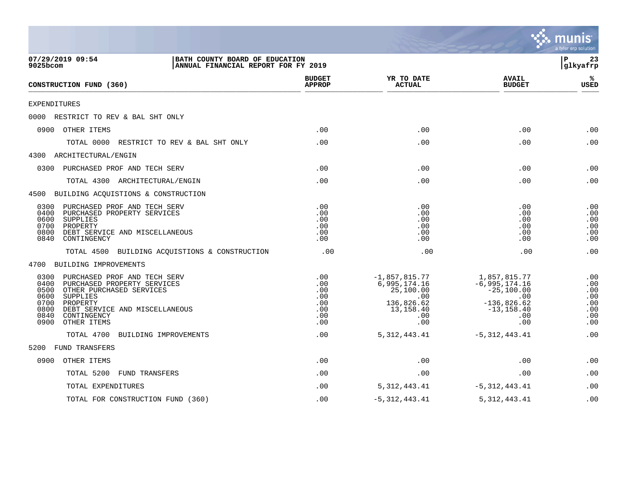|                                                                                                                                                                                                                                                 |                                                      |                                                                                              |                                                                                                          | a tyler erp solution                                 |
|-------------------------------------------------------------------------------------------------------------------------------------------------------------------------------------------------------------------------------------------------|------------------------------------------------------|----------------------------------------------------------------------------------------------|----------------------------------------------------------------------------------------------------------|------------------------------------------------------|
| 07/29/2019 09:54<br>BATH COUNTY BOARD OF EDUCATION<br>9025bcom<br>ANNUAL FINANCIAL REPORT FOR FY 2019                                                                                                                                           |                                                      |                                                                                              |                                                                                                          | Þ<br>23<br> glkyafrp                                 |
| CONSTRUCTION FUND (360)                                                                                                                                                                                                                         | <b>BUDGET</b><br><b>APPROP</b>                       | YR TO DATE<br><b>ACTUAL</b>                                                                  | <b>AVAIL</b><br><b>BUDGET</b>                                                                            | ℁<br><b>USED</b>                                     |
| EXPENDITURES                                                                                                                                                                                                                                    |                                                      |                                                                                              |                                                                                                          |                                                      |
| 0000 RESTRICT TO REV & BAL SHT ONLY                                                                                                                                                                                                             |                                                      |                                                                                              |                                                                                                          |                                                      |
| 0900 OTHER ITEMS                                                                                                                                                                                                                                | .00                                                  | .00                                                                                          | .00                                                                                                      | .00                                                  |
| TOTAL 0000<br>RESTRICT TO REV & BAL SHT ONLY                                                                                                                                                                                                    | .00                                                  | .00                                                                                          | .00                                                                                                      | .00                                                  |
| 4300 ARCHITECTURAL/ENGIN                                                                                                                                                                                                                        |                                                      |                                                                                              |                                                                                                          |                                                      |
| 0300<br>PURCHASED PROF AND TECH SERV                                                                                                                                                                                                            | .00                                                  | .00                                                                                          | .00                                                                                                      | .00                                                  |
| TOTAL 4300 ARCHITECTURAL/ENGIN                                                                                                                                                                                                                  | .00                                                  | .00                                                                                          | .00                                                                                                      | .00                                                  |
| 4500 BUILDING ACQUISTIONS & CONSTRUCTION                                                                                                                                                                                                        |                                                      |                                                                                              |                                                                                                          |                                                      |
| 0300<br>PURCHASED PROF AND TECH SERV<br>0400<br>PURCHASED PROPERTY SERVICES<br>0600<br>SUPPLIES<br>0700<br>PROPERTY<br>0800<br>DEBT SERVICE AND MISCELLANEOUS<br>0840<br>CONTINGENCY                                                            | .00<br>.00<br>.00<br>.00<br>.00<br>.00               | .00<br>.00<br>.00<br>.00<br>.00<br>.00                                                       | .00<br>.00<br>.00<br>.00<br>.00<br>.00                                                                   | .00<br>.00<br>.00<br>.00<br>.00<br>.00               |
| TOTAL 4500 BUILDING ACQUISTIONS & CONSTRUCTION                                                                                                                                                                                                  | .00                                                  | .00                                                                                          | .00                                                                                                      | .00                                                  |
| 4700 BUILDING IMPROVEMENTS                                                                                                                                                                                                                      |                                                      |                                                                                              |                                                                                                          |                                                      |
| PURCHASED PROF AND TECH SERV<br>0300<br>0400<br>PURCHASED PROPERTY SERVICES<br>0500<br>OTHER PURCHASED SERVICES<br>0600<br>SUPPLIES<br>0700<br>PROPERTY<br>0800<br>DEBT SERVICE AND MISCELLANEOUS<br>0840<br>CONTINGENCY<br>OTHER ITEMS<br>0900 | .00<br>.00<br>.00<br>.00<br>.00<br>.00<br>.00<br>.00 | $-1,857,815.77$<br>6,995,174.16<br>25,100.00<br>.00<br>136,826.62<br>13,158.40<br>.00<br>.00 | 1,857,815.77<br>$-6, 995, 174.16$<br>$-25,100.00$<br>.00<br>$-136,826.62$<br>$-13, 158.40$<br>.00<br>.00 | .00<br>.00<br>.00<br>.00<br>.00<br>.00<br>.00<br>.00 |
| TOTAL 4700<br>BUILDING IMPROVEMENTS                                                                                                                                                                                                             | .00                                                  | 5, 312, 443.41                                                                               | $-5,312,443.41$                                                                                          | .00                                                  |
| <b>FUND TRANSFERS</b><br>5200                                                                                                                                                                                                                   |                                                      |                                                                                              |                                                                                                          |                                                      |
| 0900<br>OTHER ITEMS                                                                                                                                                                                                                             | .00                                                  | .00                                                                                          | .00                                                                                                      | .00                                                  |
| TOTAL 5200<br><b>FUND TRANSFERS</b>                                                                                                                                                                                                             | .00                                                  | .00                                                                                          | .00                                                                                                      | .00                                                  |
| TOTAL EXPENDITURES                                                                                                                                                                                                                              | .00                                                  | 5, 312, 443.41                                                                               | $-5,312,443.41$                                                                                          | .00                                                  |
| TOTAL FOR CONSTRUCTION FUND (360)                                                                                                                                                                                                               | .00                                                  | $-5,312,443.41$                                                                              | 5, 312, 443.41                                                                                           | .00                                                  |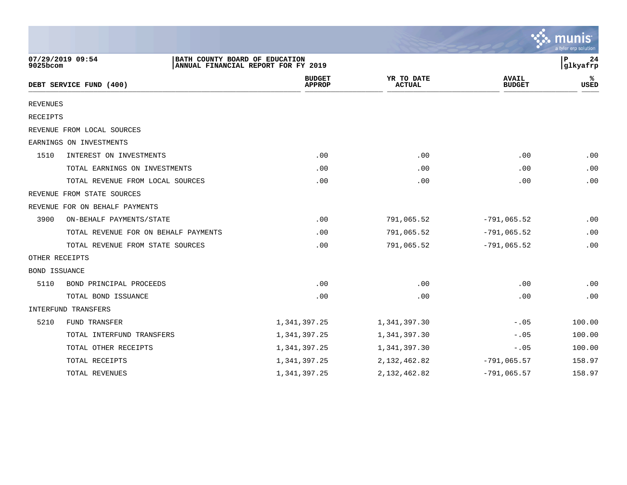|                      |                                      |                                                                       |                             |                               | a tyler erp solution |
|----------------------|--------------------------------------|-----------------------------------------------------------------------|-----------------------------|-------------------------------|----------------------|
| 9025bcom             | 07/29/2019 09:54                     | BATH COUNTY BOARD OF EDUCATION<br>ANNUAL FINANCIAL REPORT FOR FY 2019 |                             |                               | P<br>24<br>glkyafrp  |
|                      | DEBT SERVICE FUND (400)              | <b>BUDGET</b><br><b>APPROP</b>                                        | YR TO DATE<br><b>ACTUAL</b> | <b>AVAIL</b><br><b>BUDGET</b> | USED                 |
| <b>REVENUES</b>      |                                      |                                                                       |                             |                               |                      |
| <b>RECEIPTS</b>      |                                      |                                                                       |                             |                               |                      |
|                      | REVENUE FROM LOCAL SOURCES           |                                                                       |                             |                               |                      |
|                      | EARNINGS ON INVESTMENTS              |                                                                       |                             |                               |                      |
| 1510                 | INTEREST ON INVESTMENTS              | .00                                                                   | .00                         | .00                           | .00                  |
|                      | TOTAL EARNINGS ON INVESTMENTS        | .00                                                                   | .00                         | .00                           | .00                  |
|                      | TOTAL REVENUE FROM LOCAL SOURCES     | .00                                                                   | .00                         | .00                           | .00                  |
|                      | REVENUE FROM STATE SOURCES           |                                                                       |                             |                               |                      |
|                      | REVENUE FOR ON BEHALF PAYMENTS       |                                                                       |                             |                               |                      |
| 3900                 | ON-BEHALF PAYMENTS/STATE             | .00                                                                   | 791,065.52                  | $-791,065.52$                 | .00                  |
|                      | TOTAL REVENUE FOR ON BEHALF PAYMENTS | .00                                                                   | 791,065.52                  | $-791,065.52$                 | .00                  |
|                      | TOTAL REVENUE FROM STATE SOURCES     | .00                                                                   | 791,065.52                  | $-791,065.52$                 | .00                  |
|                      | OTHER RECEIPTS                       |                                                                       |                             |                               |                      |
| <b>BOND ISSUANCE</b> |                                      |                                                                       |                             |                               |                      |
| 5110                 | BOND PRINCIPAL PROCEEDS              | .00                                                                   | .00                         | .00                           | .00                  |
|                      | TOTAL BOND ISSUANCE                  | .00                                                                   | .00                         | .00                           | .00                  |
|                      | INTERFUND TRANSFERS                  |                                                                       |                             |                               |                      |
| 5210                 | FUND TRANSFER                        | 1,341,397.25                                                          | 1,341,397.30                | $-.05$                        | 100.00               |
|                      | TOTAL INTERFUND TRANSFERS            | 1,341,397.25                                                          | 1,341,397.30                | $-.05$                        | 100.00               |
|                      | TOTAL OTHER RECEIPTS                 | 1,341,397.25                                                          | 1,341,397.30                | $-.05$                        | 100.00               |
|                      | TOTAL RECEIPTS                       | 1,341,397.25                                                          | 2, 132, 462.82              | $-791,065.57$                 | 158.97               |
|                      | TOTAL REVENUES                       | 1,341,397.25                                                          | 2, 132, 462.82              | $-791,065.57$                 | 158.97               |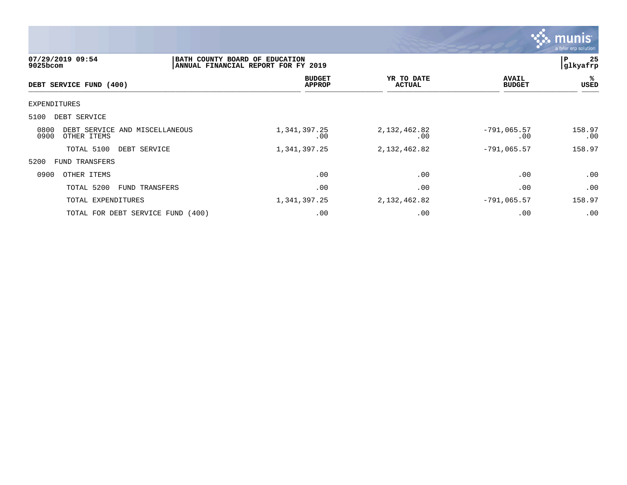

| $9025$ bcom  | 07/29/2019 09:54        |                                   | BATH COUNTY BOARD OF EDUCATION<br>ANNUAL FINANCIAL REPORT FOR FY 2019 |                                |                             |                               | 25<br>P<br> glkyafrp |
|--------------|-------------------------|-----------------------------------|-----------------------------------------------------------------------|--------------------------------|-----------------------------|-------------------------------|----------------------|
|              | DEBT SERVICE FUND (400) |                                   |                                                                       | <b>BUDGET</b><br><b>APPROP</b> | YR TO DATE<br><b>ACTUAL</b> | <b>AVAIL</b><br><b>BUDGET</b> | ℁<br><b>USED</b>     |
| EXPENDITURES |                         |                                   |                                                                       |                                |                             |                               |                      |
| 5100         | DEBT SERVICE            |                                   |                                                                       |                                |                             |                               |                      |
| 0800<br>0900 | OTHER ITEMS             | DEBT SERVICE AND MISCELLANEOUS    | 1,341,397.25                                                          | .00                            | 2,132,462.82<br>.00         | $-791,065.57$<br>.00          | 158.97<br>.00        |
|              | TOTAL 5100              | DEBT SERVICE                      | 1,341,397.25                                                          |                                | 2,132,462.82                | $-791,065.57$                 | 158.97               |
| 5200         | FUND TRANSFERS          |                                   |                                                                       |                                |                             |                               |                      |
| 0900         | OTHER ITEMS             |                                   |                                                                       | .00                            | .00                         | .00                           | .00                  |
|              | TOTAL 5200              | FUND TRANSFERS                    |                                                                       | .00                            | .00                         | .00                           | .00                  |
|              | TOTAL EXPENDITURES      |                                   | 1,341,397.25                                                          |                                | 2,132,462.82                | $-791,065.57$                 | 158.97               |
|              |                         | TOTAL FOR DEBT SERVICE FUND (400) |                                                                       | .00                            | .00                         | .00                           | .00                  |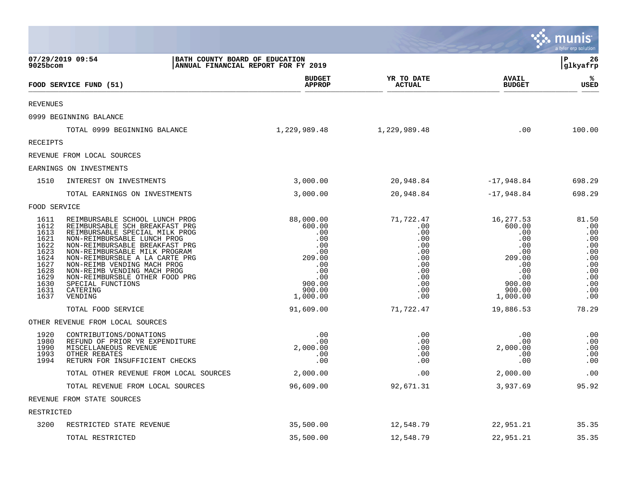|                                                                                                      |                                                                                                                                                                                                                                                                                                                                                                                    |                                                                                                                |                                                                                               |                                                                                                                | <u>ः munis</u><br>a tyler erp solution                                                    |
|------------------------------------------------------------------------------------------------------|------------------------------------------------------------------------------------------------------------------------------------------------------------------------------------------------------------------------------------------------------------------------------------------------------------------------------------------------------------------------------------|----------------------------------------------------------------------------------------------------------------|-----------------------------------------------------------------------------------------------|----------------------------------------------------------------------------------------------------------------|-------------------------------------------------------------------------------------------|
| $9025$ bcom                                                                                          | 07/29/2019 09:54<br>BATH COUNTY BOARD OF EDUCATION                                                                                                                                                                                                                                                                                                                                 | ANNUAL FINANCIAL REPORT FOR FY 2019                                                                            |                                                                                               |                                                                                                                | l P<br>26<br>glkyafrp                                                                     |
|                                                                                                      | FOOD SERVICE FUND (51)                                                                                                                                                                                                                                                                                                                                                             | <b>BUDGET</b><br><b>APPROP</b>                                                                                 | YR TO DATE<br><b>ACTUAL</b>                                                                   | <b>AVAIL</b><br><b>BUDGET</b>                                                                                  | ℁<br><b>USED</b>                                                                          |
| <b>REVENUES</b>                                                                                      |                                                                                                                                                                                                                                                                                                                                                                                    |                                                                                                                |                                                                                               |                                                                                                                |                                                                                           |
|                                                                                                      | 0999 BEGINNING BALANCE                                                                                                                                                                                                                                                                                                                                                             |                                                                                                                |                                                                                               |                                                                                                                |                                                                                           |
|                                                                                                      | TOTAL 0999 BEGINNING BALANCE                                                                                                                                                                                                                                                                                                                                                       | 1,229,989.48                                                                                                   | 1,229,989.48                                                                                  | .00                                                                                                            | 100.00                                                                                    |
| RECEIPTS                                                                                             |                                                                                                                                                                                                                                                                                                                                                                                    |                                                                                                                |                                                                                               |                                                                                                                |                                                                                           |
|                                                                                                      | REVENUE FROM LOCAL SOURCES                                                                                                                                                                                                                                                                                                                                                         |                                                                                                                |                                                                                               |                                                                                                                |                                                                                           |
|                                                                                                      | EARNINGS ON INVESTMENTS                                                                                                                                                                                                                                                                                                                                                            |                                                                                                                |                                                                                               |                                                                                                                |                                                                                           |
| 1510                                                                                                 | INTEREST ON INVESTMENTS                                                                                                                                                                                                                                                                                                                                                            | 3,000.00                                                                                                       | 20,948.84                                                                                     | -17,948.84                                                                                                     | 698.29                                                                                    |
|                                                                                                      | TOTAL EARNINGS ON INVESTMENTS                                                                                                                                                                                                                                                                                                                                                      | 3,000.00                                                                                                       | 20,948.84                                                                                     | $-17,948.84$                                                                                                   | 698.29                                                                                    |
| FOOD SERVICE                                                                                         |                                                                                                                                                                                                                                                                                                                                                                                    |                                                                                                                |                                                                                               |                                                                                                                |                                                                                           |
| 1611<br>1612<br>1613<br>1621<br>1622<br>1623<br>1624<br>1627<br>1628<br>1629<br>1630<br>1631<br>1637 | REIMBURSABLE SCHOOL LUNCH PROG<br>REIMBURSABLE SCH BREAKFAST PRG<br>REIMBURSABLE SPECIAL MILK PROG<br>NON-REIMBURSABLE LUNCH PROG<br>NON-REIMBURSABLE BREAKFAST PRG<br>NON-REIMBURSABLE MILK PROGRAM<br>NON-REIMBURSBLE A LA CARTE PRG<br>NON-REIMB VENDING MACH PROG<br>NON-REIMB VENDING MACH PROG<br>NON-REIMBURSBLE OTHER FOOD PRG<br>SPECIAL FUNCTIONS<br>CATERING<br>VENDING | 88,000.00<br>600.00<br>.00<br>.00<br>.00<br>.00<br>209.00<br>.00<br>.00<br>.00<br>900.00<br>900.00<br>1,000.00 | 71,722.47<br>.00<br>.00<br>.00<br>.00<br>.00<br>.00<br>.00<br>.00<br>.00<br>.00<br>.00<br>.00 | 16,277.53<br>600.00<br>.00<br>.00<br>.00<br>.00<br>209.00<br>.00<br>.00<br>.00<br>900.00<br>900.00<br>1,000.00 | 81.50<br>.00<br>.00<br>.00<br>.00<br>.00<br>.00<br>.00<br>.00<br>.00<br>.00<br>.00<br>.00 |
|                                                                                                      | TOTAL FOOD SERVICE                                                                                                                                                                                                                                                                                                                                                                 | 91,609.00                                                                                                      | 71,722.47                                                                                     | 19,886.53                                                                                                      | 78.29                                                                                     |
|                                                                                                      | OTHER REVENUE FROM LOCAL SOURCES                                                                                                                                                                                                                                                                                                                                                   |                                                                                                                |                                                                                               |                                                                                                                |                                                                                           |
| 1920<br>1980<br>1990<br>1993<br>1994                                                                 | CONTRIBUTIONS/DONATIONS<br>REFUND OF PRIOR YR EXPENDITURE<br>MISCELLANEOUS REVENUE<br>OTHER REBATES<br>RETURN FOR INSUFFICIENT CHECKS                                                                                                                                                                                                                                              | .00<br>.00<br>2,000.00<br>.00<br>.00                                                                           | .00<br>.00<br>.00<br>.00<br>.00                                                               | .00<br>.00<br>2,000.00<br>.00<br>.00                                                                           | .00<br>.00<br>.00<br>.00<br>.00                                                           |
|                                                                                                      | TOTAL OTHER REVENUE FROM LOCAL SOURCES                                                                                                                                                                                                                                                                                                                                             | 2,000.00                                                                                                       | .00                                                                                           | 2,000.00                                                                                                       | .00                                                                                       |
|                                                                                                      | TOTAL REVENUE FROM LOCAL SOURCES                                                                                                                                                                                                                                                                                                                                                   | 96,609.00                                                                                                      | 92,671.31                                                                                     | 3,937.69                                                                                                       | 95.92                                                                                     |
|                                                                                                      | REVENUE FROM STATE SOURCES                                                                                                                                                                                                                                                                                                                                                         |                                                                                                                |                                                                                               |                                                                                                                |                                                                                           |
| RESTRICTED                                                                                           |                                                                                                                                                                                                                                                                                                                                                                                    |                                                                                                                |                                                                                               |                                                                                                                |                                                                                           |
| 3200                                                                                                 | RESTRICTED STATE REVENUE                                                                                                                                                                                                                                                                                                                                                           | 35,500.00                                                                                                      | 12,548.79                                                                                     | 22,951.21                                                                                                      | 35.35                                                                                     |
|                                                                                                      | TOTAL RESTRICTED                                                                                                                                                                                                                                                                                                                                                                   | 35,500.00                                                                                                      | 12,548.79                                                                                     | 22,951.21                                                                                                      | 35.35                                                                                     |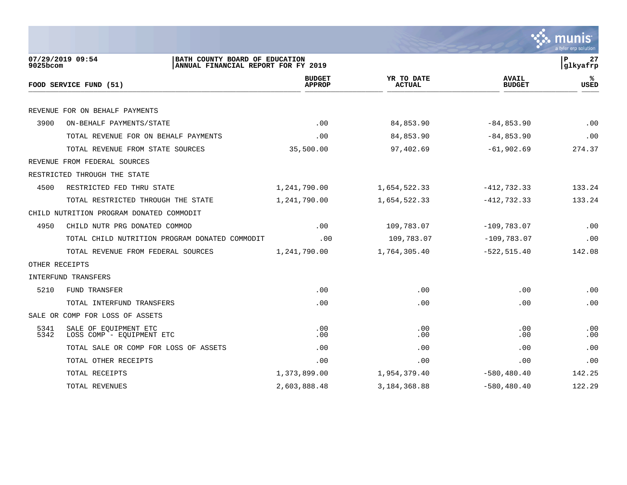|                |                                                                                           |                                |                             |                               | a tyler erp solution |
|----------------|-------------------------------------------------------------------------------------------|--------------------------------|-----------------------------|-------------------------------|----------------------|
| $9025$ bcom    | 07/29/2019 09:54<br>BATH COUNTY BOARD OF EDUCATION<br>ANNUAL FINANCIAL REPORT FOR FY 2019 |                                |                             |                               | P<br>27<br>glkyafrp  |
|                | FOOD SERVICE FUND (51)                                                                    | <b>BUDGET</b><br><b>APPROP</b> | YR TO DATE<br><b>ACTUAL</b> | <b>AVAIL</b><br><b>BUDGET</b> | ℁<br><b>USED</b>     |
|                | REVENUE FOR ON BEHALF PAYMENTS                                                            |                                |                             |                               |                      |
| 3900           | ON-BEHALF PAYMENTS/STATE                                                                  | .00                            | 84,853.90                   | $-84, 853.90$                 | .00                  |
|                | TOTAL REVENUE FOR ON BEHALF PAYMENTS                                                      | .00                            | 84,853.90                   | $-84, 853.90$                 | .00                  |
|                | TOTAL REVENUE FROM STATE SOURCES                                                          | 35,500.00                      | 97,402.69                   | $-61,902.69$                  | 274.37               |
|                | REVENUE FROM FEDERAL SOURCES                                                              |                                |                             |                               |                      |
|                | RESTRICTED THROUGH THE STATE                                                              |                                |                             |                               |                      |
| 4500           | RESTRICTED FED THRU STATE                                                                 | 1,241,790.00                   | 1,654,522.33                | $-412, 732.33$                | 133.24               |
|                | TOTAL RESTRICTED THROUGH THE STATE                                                        | 1,241,790.00                   | 1,654,522.33                | $-412, 732.33$                | 133.24               |
|                | CHILD NUTRITION PROGRAM DONATED COMMODIT                                                  |                                |                             |                               |                      |
| 4950           | CHILD NUTR PRG DONATED COMMOD                                                             | .00                            | 109,783.07                  | $-109,783.07$                 | .00                  |
|                | TOTAL CHILD NUTRITION PROGRAM DONATED COMMODIT                                            | .00                            | 109,783.07                  | $-109,783.07$                 | .00                  |
|                | TOTAL REVENUE FROM FEDERAL SOURCES                                                        | 1,241,790.00                   | 1,764,305.40                | $-522, 515.40$                | 142.08               |
| OTHER RECEIPTS |                                                                                           |                                |                             |                               |                      |
|                | INTERFUND TRANSFERS                                                                       |                                |                             |                               |                      |
| 5210           | FUND TRANSFER                                                                             | .00                            | .00                         | .00                           | .00                  |
|                | TOTAL INTERFUND TRANSFERS                                                                 | .00                            | .00                         | .00                           | .00                  |
|                | SALE OR COMP FOR LOSS OF ASSETS                                                           |                                |                             |                               |                      |
| 5341<br>5342   | SALE OF EOUIPMENT ETC<br>LOSS COMP - EQUIPMENT ETC                                        | .00<br>.00                     | .00<br>.00                  | .00<br>.00                    | .00<br>.00           |
|                | TOTAL SALE OR COMP FOR LOSS OF ASSETS                                                     | .00                            | .00                         | .00                           | .00                  |
|                | TOTAL OTHER RECEIPTS                                                                      | .00                            | .00                         | .00                           | .00                  |
|                | TOTAL RECEIPTS                                                                            | 1,373,899.00                   | 1,954,379.40                | $-580, 480.40$                | 142.25               |

TOTAL REVENUES 2,603,888.48 3,184,368.88 -580,480.40 122.29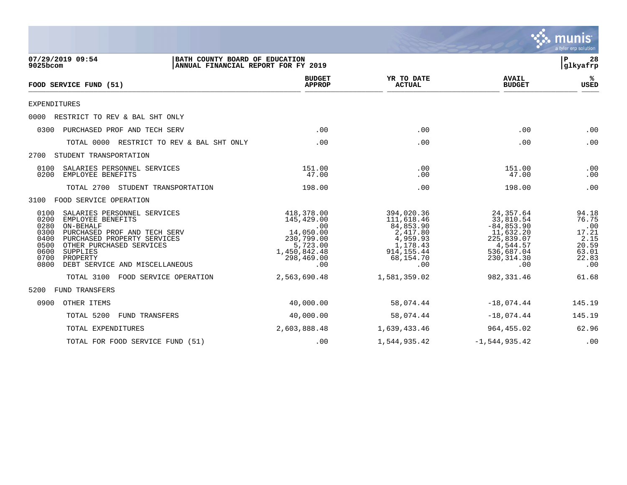

| 07/29/2019 09:54<br>9025bcom                                                                                                                                                                                                                                                               | BATH COUNTY BOARD OF EDUCATION<br>ANNUAL FINANCIAL REPORT FOR FY 2019 |                                                                                                             |                                                                                                              | ΙP<br>28<br> glkyafrp                                                                                              |                                                                          |
|--------------------------------------------------------------------------------------------------------------------------------------------------------------------------------------------------------------------------------------------------------------------------------------------|-----------------------------------------------------------------------|-------------------------------------------------------------------------------------------------------------|--------------------------------------------------------------------------------------------------------------|--------------------------------------------------------------------------------------------------------------------|--------------------------------------------------------------------------|
| FOOD SERVICE FUND (51)                                                                                                                                                                                                                                                                     |                                                                       | <b>BUDGET</b><br><b>APPROP</b>                                                                              | YR TO DATE<br><b>ACTUAL</b>                                                                                  | <b>AVAIL</b><br><b>BUDGET</b>                                                                                      | %≽<br>USED                                                               |
| <b>EXPENDITURES</b>                                                                                                                                                                                                                                                                        |                                                                       |                                                                                                             |                                                                                                              |                                                                                                                    |                                                                          |
| RESTRICT TO REV & BAL SHT ONLY<br>0000                                                                                                                                                                                                                                                     |                                                                       |                                                                                                             |                                                                                                              |                                                                                                                    |                                                                          |
| 0300<br>PURCHASED PROF AND TECH SERV                                                                                                                                                                                                                                                       |                                                                       | .00                                                                                                         | .00                                                                                                          | .00                                                                                                                | .00                                                                      |
| TOTAL 0000 RESTRICT TO REV & BAL SHT ONLY                                                                                                                                                                                                                                                  |                                                                       | .00                                                                                                         | .00                                                                                                          | .00                                                                                                                | .00                                                                      |
| STUDENT TRANSPORTATION<br>2700                                                                                                                                                                                                                                                             |                                                                       |                                                                                                             |                                                                                                              |                                                                                                                    |                                                                          |
| 0100<br>SALARIES PERSONNEL SERVICES<br>0200<br>EMPLOYEE BENEFITS                                                                                                                                                                                                                           |                                                                       | 151.00<br>47.00                                                                                             | .00<br>.00                                                                                                   | 151.00<br>47.00                                                                                                    | .00<br>.00                                                               |
| TOTAL 2700<br>STUDENT TRANSPORTATION                                                                                                                                                                                                                                                       |                                                                       | 198.00                                                                                                      | .00                                                                                                          | 198.00                                                                                                             | .00                                                                      |
| FOOD SERVICE OPERATION<br>3100                                                                                                                                                                                                                                                             |                                                                       |                                                                                                             |                                                                                                              |                                                                                                                    |                                                                          |
| 0100<br>SALARIES PERSONNEL SERVICES<br>0200<br>EMPLOYEE BENEFITS<br>0280<br>ON-BEHALF<br>0300<br>PURCHASED PROF AND TECH SERV<br>0400<br>PURCHASED PROPERTY SERVICES<br>0500<br>OTHER PURCHASED SERVICES<br>0600<br>SUPPLIES<br>0700<br>PROPERTY<br>0800<br>DEBT SERVICE AND MISCELLANEOUS |                                                                       | 418,378.00<br>145,429.00<br>.00<br>14,050.00<br>230,799.00<br>5,723.00<br>1,450,842.48<br>298,469.00<br>.00 | 394,020.36<br>111,618.46<br>84,853.90<br>2,417.80<br>4,959.93<br>1,178.43<br>914, 155.44<br>68,154.70<br>.00 | 24,357.64<br>33,810.54<br>$-84, 853.90$<br>11,632.20<br>225,839.07<br>4,544.57<br>536,687.04<br>230, 314.30<br>.00 | 94.18<br>76.75<br>.00<br>17.21<br>2.15<br>20.59<br>63.01<br>22.83<br>.00 |
| TOTAL 3100 FOOD SERVICE OPERATION                                                                                                                                                                                                                                                          |                                                                       | 2,563,690.48                                                                                                | 1,581,359.02                                                                                                 | 982,331.46                                                                                                         | 61.68                                                                    |
| FUND TRANSFERS<br>5200                                                                                                                                                                                                                                                                     |                                                                       |                                                                                                             |                                                                                                              |                                                                                                                    |                                                                          |
| 0900<br>OTHER ITEMS                                                                                                                                                                                                                                                                        |                                                                       | 40,000.00                                                                                                   | 58,074.44                                                                                                    | $-18,074.44$                                                                                                       | 145.19                                                                   |
| TOTAL 5200<br>FUND TRANSFERS                                                                                                                                                                                                                                                               |                                                                       | 40,000.00                                                                                                   | 58,074.44                                                                                                    | $-18,074.44$                                                                                                       | 145.19                                                                   |
| TOTAL EXPENDITURES                                                                                                                                                                                                                                                                         |                                                                       | 2,603,888.48                                                                                                | 1,639,433.46                                                                                                 | 964,455.02                                                                                                         | 62.96                                                                    |
| TOTAL FOR FOOD SERVICE FUND (51)                                                                                                                                                                                                                                                           |                                                                       | .00                                                                                                         | 1,544,935.42                                                                                                 | $-1,544,935.42$                                                                                                    | .00                                                                      |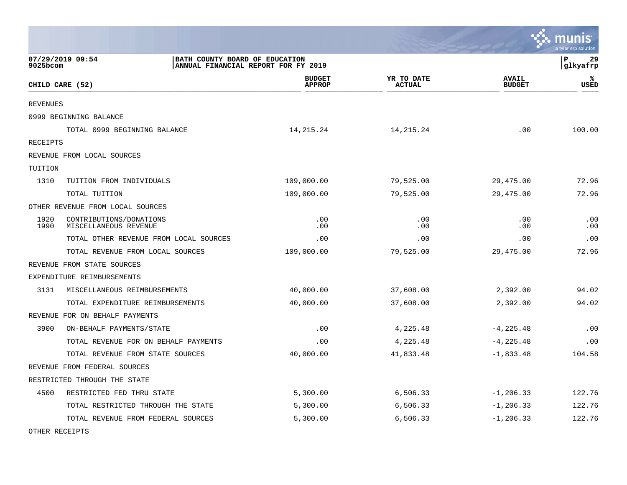|                 |                                                  |                                                                       |                             |                               | munis<br>a tyler erp solution |
|-----------------|--------------------------------------------------|-----------------------------------------------------------------------|-----------------------------|-------------------------------|-------------------------------|
| 9025bcom        | 07/29/2019 09:54                                 | BATH COUNTY BOARD OF EDUCATION<br>ANNUAL FINANCIAL REPORT FOR FY 2019 |                             |                               | l P<br>29<br> glkyafrp        |
|                 | CHILD CARE (52)                                  | <b>BUDGET</b><br><b>APPROP</b>                                        | YR TO DATE<br><b>ACTUAL</b> | <b>AVAIL</b><br><b>BUDGET</b> | ℁<br>USED                     |
| <b>REVENUES</b> |                                                  |                                                                       |                             |                               |                               |
|                 | 0999 BEGINNING BALANCE                           |                                                                       |                             |                               |                               |
|                 | TOTAL 0999 BEGINNING BALANCE                     | 14,215.24                                                             | 14, 215. 24                 | .00                           | 100.00                        |
| RECEIPTS        |                                                  |                                                                       |                             |                               |                               |
|                 | REVENUE FROM LOCAL SOURCES                       |                                                                       |                             |                               |                               |
| TUITION         |                                                  |                                                                       |                             |                               |                               |
| 1310            | TUITION FROM INDIVIDUALS                         | 109,000.00                                                            | 79,525.00                   | 29,475.00                     | 72.96                         |
|                 | TOTAL TUITION                                    | 109,000.00                                                            | 79,525.00                   | 29,475.00                     | 72.96                         |
|                 | OTHER REVENUE FROM LOCAL SOURCES                 |                                                                       |                             |                               |                               |
| 1920<br>1990    | CONTRIBUTIONS/DONATIONS<br>MISCELLANEOUS REVENUE | .00<br>.00                                                            | .00<br>.00                  | .00<br>.00                    | .00<br>.00                    |
|                 | TOTAL OTHER REVENUE FROM LOCAL SOURCES           | .00                                                                   | .00                         | .00                           | .00                           |
|                 | TOTAL REVENUE FROM LOCAL SOURCES                 | 109,000.00                                                            | 79,525.00                   | 29,475.00                     | 72.96                         |
|                 | REVENUE FROM STATE SOURCES                       |                                                                       |                             |                               |                               |
|                 | EXPENDITURE REIMBURSEMENTS                       |                                                                       |                             |                               |                               |
| 3131            | MISCELLANEOUS REIMBURSEMENTS                     | 40,000.00                                                             | 37,608.00                   | 2,392.00                      | 94.02                         |
|                 | TOTAL EXPENDITURE REIMBURSEMENTS                 | 40,000.00                                                             | 37,608.00                   | 2,392.00                      | 94.02                         |
|                 | REVENUE FOR ON BEHALF PAYMENTS                   |                                                                       |                             |                               |                               |
| 3900            | ON-BEHALF PAYMENTS/STATE                         | .00                                                                   | 4,225.48                    | $-4, 225.48$                  | .00                           |
|                 | TOTAL REVENUE FOR ON BEHALF PAYMENTS             | .00                                                                   | 4,225.48                    | $-4, 225.48$                  | .00                           |
|                 | TOTAL REVENUE FROM STATE SOURCES                 | 40,000.00                                                             | 41,833.48                   | $-1,833.48$                   | 104.58                        |
|                 | REVENUE FROM FEDERAL SOURCES                     |                                                                       |                             |                               |                               |
|                 | RESTRICTED THROUGH THE STATE                     |                                                                       |                             |                               |                               |
| 4500            | RESTRICTED FED THRU STATE                        | 5,300.00                                                              | 6,506.33                    | $-1, 206.33$                  | 122.76                        |
|                 | TOTAL RESTRICTED THROUGH THE STATE               | 5,300.00                                                              | 6,506.33                    | $-1, 206.33$                  | 122.76                        |
|                 | TOTAL REVENUE FROM FEDERAL SOURCES               | 5,300.00                                                              | 6,506.33                    | $-1, 206.33$                  | 122.76                        |

 $\mathcal{L}$ 

OTHER RECEIPTS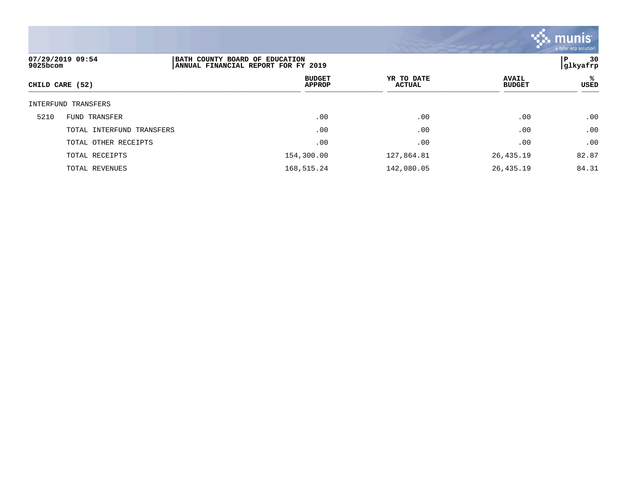

| 9025bcom | 07/29/2019 09:54          | BATH COUNTY BOARD OF EDUCATION<br>ANNUAL FINANCIAL REPORT FOR FY 2019 |                             |                               | 30<br>P<br> glkyafrp |
|----------|---------------------------|-----------------------------------------------------------------------|-----------------------------|-------------------------------|----------------------|
|          | CHILD CARE (52)           | <b>BUDGET</b><br><b>APPROP</b>                                        | YR TO DATE<br><b>ACTUAL</b> | <b>AVAIL</b><br><b>BUDGET</b> | ℁<br><b>USED</b>     |
|          | INTERFUND TRANSFERS       |                                                                       |                             |                               |                      |
| 5210     | FUND TRANSFER             | .00                                                                   | .00                         | .00                           | .00                  |
|          | TOTAL INTERFUND TRANSFERS | .00                                                                   | .00                         | .00                           | .00                  |
|          | TOTAL OTHER RECEIPTS      | .00                                                                   | .00                         | .00                           | .00                  |
|          | TOTAL RECEIPTS            | 154,300.00                                                            | 127,864.81                  | 26,435.19                     | 82.87                |
|          | TOTAL REVENUES            | 168,515.24                                                            | 142,080.05                  | 26,435.19                     | 84.31                |
|          |                           |                                                                       |                             |                               |                      |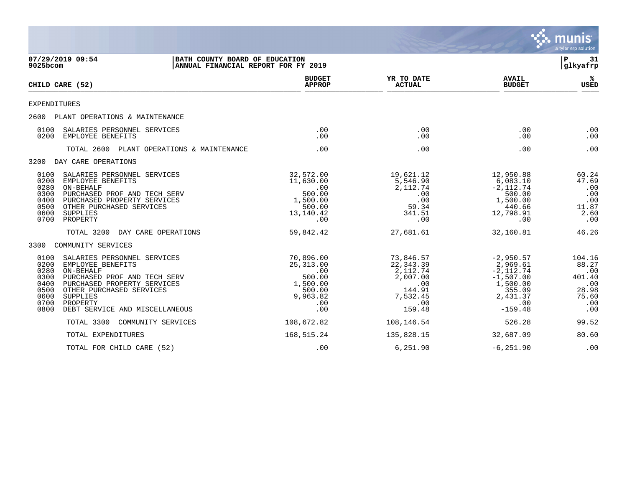|                                                                                                                                                                                                                                                                                            |                                                                                              |                                                                                              |                                                                                                              | <b>munis</b><br>a tyler erp solution                                    |
|--------------------------------------------------------------------------------------------------------------------------------------------------------------------------------------------------------------------------------------------------------------------------------------------|----------------------------------------------------------------------------------------------|----------------------------------------------------------------------------------------------|--------------------------------------------------------------------------------------------------------------|-------------------------------------------------------------------------|
| 07/29/2019 09:54<br>BATH COUNTY BOARD OF EDUCATION<br>9025bcom                                                                                                                                                                                                                             | ANNUAL FINANCIAL REPORT FOR FY 2019                                                          |                                                                                              |                                                                                                              | ΙP<br>-31<br>glkyafrp                                                   |
| CHILD CARE (52)                                                                                                                                                                                                                                                                            | <b>BUDGET</b><br><b>APPROP</b>                                                               | YR TO DATE<br><b>ACTUAL</b>                                                                  | <b>AVAIL</b><br><b>BUDGET</b>                                                                                | ℁<br><b>USED</b>                                                        |
| EXPENDITURES                                                                                                                                                                                                                                                                               |                                                                                              |                                                                                              |                                                                                                              |                                                                         |
| 2600 PLANT OPERATIONS & MAINTENANCE                                                                                                                                                                                                                                                        |                                                                                              |                                                                                              |                                                                                                              |                                                                         |
| SALARIES PERSONNEL SERVICES<br>0100<br>0200<br>EMPLOYEE BENEFITS                                                                                                                                                                                                                           | .00<br>$.00 \,$                                                                              | .00<br>.00                                                                                   | .00<br>.00                                                                                                   | .00<br>.00                                                              |
| TOTAL 2600 PLANT OPERATIONS & MAINTENANCE                                                                                                                                                                                                                                                  | .00                                                                                          | .00                                                                                          | .00                                                                                                          | .00                                                                     |
| 3200 DAY CARE OPERATIONS                                                                                                                                                                                                                                                                   |                                                                                              |                                                                                              |                                                                                                              |                                                                         |
| SALARIES PERSONNEL SERVICES<br>0100<br>0200<br>EMPLOYEE BENEFITS<br>0280<br>ON-BEHALF<br>0300<br>PURCHASED PROF AND TECH SERV<br>0400<br>PURCHASED PROPERTY SERVICES<br>0500<br>OTHER PURCHASED SERVICES<br>0600<br><b>SUPPLIES</b><br>0700<br>PROPERTY                                    | 32,572.00<br>11,630.00<br>.00<br>500.00<br>1,500.00<br>500.00<br>13,140.42<br>$.00 \,$       | 19,621.12<br>5,546.90<br>2, 112.74<br>.00<br>.00<br>59.34<br>341.51<br>.00                   | 12,950.88<br>6,083.10<br>$-2,112.74$<br>500.00<br>1,500.00<br>440.66<br>12,798.91<br>.00                     | 60.24<br>47.69<br>.00<br>.00<br>.00<br>11.87<br>2.60<br>.00             |
| DAY CARE OPERATIONS<br>TOTAL 3200                                                                                                                                                                                                                                                          | 59,842.42                                                                                    | 27,681.61                                                                                    | 32,160.81                                                                                                    | 46.26                                                                   |
| 3300<br>COMMUNITY SERVICES                                                                                                                                                                                                                                                                 |                                                                                              |                                                                                              |                                                                                                              |                                                                         |
| 0100<br>SALARIES PERSONNEL SERVICES<br>0200<br>EMPLOYEE BENEFITS<br>0280<br>ON-BEHALF<br>0300<br>PURCHASED PROF AND TECH SERV<br>0400<br>PURCHASED PROPERTY SERVICES<br>0500<br>OTHER PURCHASED SERVICES<br>0600<br>SUPPLIES<br>0700<br>PROPERTY<br>0800<br>DEBT SERVICE AND MISCELLANEOUS | 70,896.00<br>25,313.00<br>$.00 \,$<br>500.00<br>1,500.00<br>500.00<br>9,963.82<br>.00<br>.00 | 73,846.57<br>22,343.39<br>2,112.74<br>2,007.00<br>.00<br>144.91<br>7,532.45<br>.00<br>159.48 | $-2,950.57$<br>2,969.61<br>$-2, 112.74$<br>$-1,507.00$<br>1,500.00<br>355.09<br>2,431.37<br>.00<br>$-159.48$ | 104.16<br>88.27<br>.00<br>401.40<br>.00<br>28.98<br>75.60<br>.00<br>.00 |
| TOTAL 3300<br>COMMUNITY SERVICES                                                                                                                                                                                                                                                           | 108,672.82                                                                                   | 108,146.54                                                                                   | 526.28                                                                                                       | 99.52                                                                   |
| TOTAL EXPENDITURES                                                                                                                                                                                                                                                                         | 168,515.24                                                                                   | 135,828.15                                                                                   | 32,687.09                                                                                                    | 80.60                                                                   |
| TOTAL FOR CHILD CARE (52)                                                                                                                                                                                                                                                                  | .00                                                                                          | 6,251.90                                                                                     | $-6, 251.90$                                                                                                 | .00                                                                     |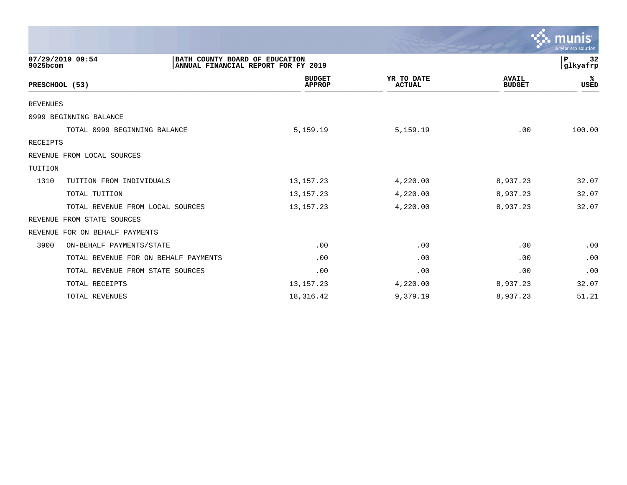|                                      |                                                                       |                             |                               | $\mathbf{\ddot{\cdot}}\mathbf{\ddot{\cdot}}\mathbf{m}$ unis $\mathbf{\ddot{\cdot}}$<br>a tyler erp solution |
|--------------------------------------|-----------------------------------------------------------------------|-----------------------------|-------------------------------|-------------------------------------------------------------------------------------------------------------|
| 07/29/2019 09:54<br>9025bcom         | BATH COUNTY BOARD OF EDUCATION<br>ANNUAL FINANCIAL REPORT FOR FY 2019 |                             |                               | 32<br>P<br>glkyafrp                                                                                         |
| PRESCHOOL (53)                       | <b>BUDGET</b><br><b>APPROP</b>                                        | YR TO DATE<br><b>ACTUAL</b> | <b>AVAIL</b><br><b>BUDGET</b> | ℁<br><b>USED</b>                                                                                            |
| <b>REVENUES</b>                      |                                                                       |                             |                               |                                                                                                             |
| 0999 BEGINNING BALANCE               |                                                                       |                             |                               |                                                                                                             |
| TOTAL 0999 BEGINNING BALANCE         | 5,159.19                                                              | 5,159.19                    | .00                           | 100.00                                                                                                      |
| <b>RECEIPTS</b>                      |                                                                       |                             |                               |                                                                                                             |
| REVENUE FROM LOCAL SOURCES           |                                                                       |                             |                               |                                                                                                             |
| TUITION                              |                                                                       |                             |                               |                                                                                                             |
| 1310<br>TUITION FROM INDIVIDUALS     | 13, 157. 23                                                           | 4,220.00                    | 8,937.23                      | 32.07                                                                                                       |
| TOTAL TUITION                        | 13, 157. 23                                                           | 4,220.00                    | 8,937.23                      | 32.07                                                                                                       |
| TOTAL REVENUE FROM LOCAL SOURCES     | 13, 157. 23                                                           | 4,220.00                    | 8,937.23                      | 32.07                                                                                                       |
| FROM STATE SOURCES<br>REVENUE        |                                                                       |                             |                               |                                                                                                             |
| REVENUE FOR ON BEHALF PAYMENTS       |                                                                       |                             |                               |                                                                                                             |
| 3900<br>ON-BEHALF PAYMENTS/STATE     | .00                                                                   | .00                         | .00                           | .00                                                                                                         |
| TOTAL REVENUE FOR ON BEHALF PAYMENTS | .00                                                                   | .00                         | .00                           | .00                                                                                                         |
| TOTAL REVENUE FROM STATE SOURCES     | .00                                                                   | .00                         | .00                           | .00                                                                                                         |
| TOTAL RECEIPTS                       | 13, 157. 23                                                           | 4,220.00                    | 8,937.23                      | 32.07                                                                                                       |
| TOTAL REVENUES                       | 18,316.42                                                             | 9,379.19                    | 8,937.23                      | 51.21                                                                                                       |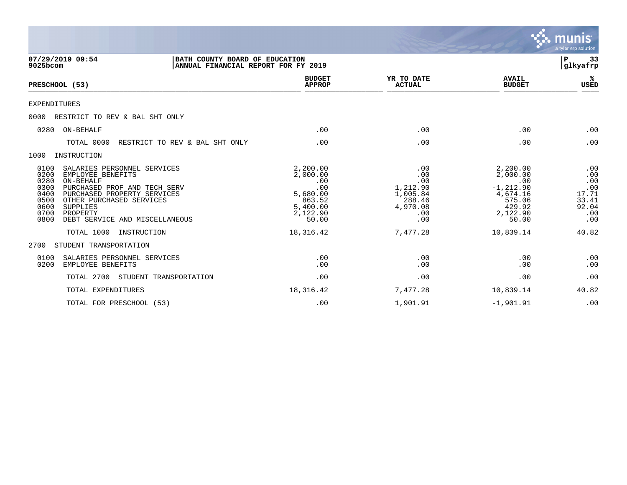|                                                                                                                                                                                                                                                                                            |                                                                                           |                                                                               |                                                                                                  | munis<br>a tyler erp solution                                     |
|--------------------------------------------------------------------------------------------------------------------------------------------------------------------------------------------------------------------------------------------------------------------------------------------|-------------------------------------------------------------------------------------------|-------------------------------------------------------------------------------|--------------------------------------------------------------------------------------------------|-------------------------------------------------------------------|
| 07/29/2019 09:54<br>BATH COUNTY BOARD OF EDUCATION<br>9025bcom<br>ANNUAL FINANCIAL REPORT FOR FY 2019                                                                                                                                                                                      |                                                                                           |                                                                               |                                                                                                  | 33<br>P<br> glkyafrp                                              |
| PRESCHOOL (53)                                                                                                                                                                                                                                                                             | <b>BUDGET</b><br><b>APPROP</b>                                                            | YR TO DATE<br><b>ACTUAL</b>                                                   | <b>AVAIL</b><br><b>BUDGET</b>                                                                    | ℁<br><b>USED</b>                                                  |
| EXPENDITURES                                                                                                                                                                                                                                                                               |                                                                                           |                                                                               |                                                                                                  |                                                                   |
| 0000<br>RESTRICT TO REV & BAL SHT ONLY                                                                                                                                                                                                                                                     |                                                                                           |                                                                               |                                                                                                  |                                                                   |
| ON-BEHALF<br>0280                                                                                                                                                                                                                                                                          | .00                                                                                       | .00                                                                           | .00                                                                                              | .00                                                               |
| RESTRICT TO REV & BAL SHT ONLY<br>TOTAL 0000                                                                                                                                                                                                                                               | .00                                                                                       | .00                                                                           | .00                                                                                              | .00                                                               |
| 1000<br>INSTRUCTION                                                                                                                                                                                                                                                                        |                                                                                           |                                                                               |                                                                                                  |                                                                   |
| 0100<br>SALARIES PERSONNEL SERVICES<br>0200<br>EMPLOYEE BENEFITS<br>0280<br>ON-BEHALF<br>0300<br>PURCHASED PROF AND TECH SERV<br>0400<br>PURCHASED PROPERTY SERVICES<br>OTHER PURCHASED SERVICES<br>0500<br>0600<br>SUPPLIES<br>0700<br>PROPERTY<br>0800<br>DEBT SERVICE AND MISCELLANEOUS | 2,200.00<br>2,000.00<br>.00<br>.00<br>5,680.00<br>863.52<br>5,400.00<br>2,122.90<br>50.00 | .00<br>.00<br>.00<br>1,212.90<br>1,005.84<br>288.46<br>4,970.08<br>.00<br>.00 | 2,200.00<br>2,000.00<br>.00<br>$-1, 212.90$<br>4,674.16<br>575.06<br>429.92<br>2,122.90<br>50.00 | .00<br>.00<br>.00<br>.00<br>17.71<br>33.41<br>92.04<br>.00<br>.00 |
| TOTAL 1000<br>INSTRUCTION                                                                                                                                                                                                                                                                  | 18,316.42                                                                                 | 7,477.28                                                                      | 10,839.14                                                                                        | 40.82                                                             |
| STUDENT TRANSPORTATION<br>2700                                                                                                                                                                                                                                                             |                                                                                           |                                                                               |                                                                                                  |                                                                   |
| 0100<br>SALARIES PERSONNEL SERVICES<br>0200<br>EMPLOYEE BENEFITS                                                                                                                                                                                                                           | .00<br>.00                                                                                | .00<br>.00                                                                    | .00<br>.00                                                                                       | .00<br>.00                                                        |
| TOTAL 2700<br>STUDENT TRANSPORTATION                                                                                                                                                                                                                                                       | .00                                                                                       | .00                                                                           | .00                                                                                              | .00                                                               |
| TOTAL EXPENDITURES                                                                                                                                                                                                                                                                         | 18,316.42                                                                                 | 7,477.28                                                                      | 10,839.14                                                                                        | 40.82                                                             |
| TOTAL FOR PRESCHOOL (53)                                                                                                                                                                                                                                                                   | .00                                                                                       | 1,901.91                                                                      | $-1,901.91$                                                                                      | .00                                                               |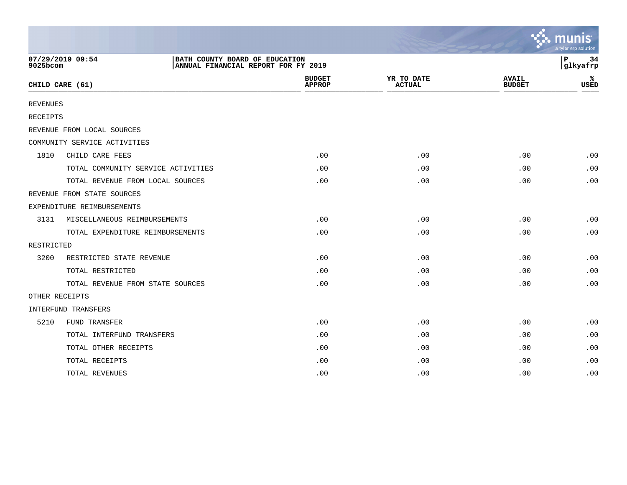|                 |                                                                                           |                                |                             |                               | $\sim$ munis<br>a tyler erp solution |
|-----------------|-------------------------------------------------------------------------------------------|--------------------------------|-----------------------------|-------------------------------|--------------------------------------|
| 9025bcom        | 07/29/2019 09:54<br>BATH COUNTY BOARD OF EDUCATION<br>ANNUAL FINANCIAL REPORT FOR FY 2019 |                                |                             |                               | l P<br>34<br>glkyafrp                |
|                 | CHILD CARE (61)                                                                           | <b>BUDGET</b><br><b>APPROP</b> | YR TO DATE<br><b>ACTUAL</b> | <b>AVAIL</b><br><b>BUDGET</b> | ℁<br><b>USED</b>                     |
| <b>REVENUES</b> |                                                                                           |                                |                             |                               |                                      |
| <b>RECEIPTS</b> |                                                                                           |                                |                             |                               |                                      |
|                 | REVENUE FROM LOCAL SOURCES                                                                |                                |                             |                               |                                      |
|                 | COMMUNITY SERVICE ACTIVITIES                                                              |                                |                             |                               |                                      |
| 1810            | CHILD CARE FEES                                                                           | .00                            | .00                         | .00                           | .00                                  |
|                 | TOTAL COMMUNITY SERVICE ACTIVITIES                                                        | .00                            | .00                         | .00                           | .00                                  |
|                 | TOTAL REVENUE FROM LOCAL SOURCES                                                          | .00                            | .00                         | .00                           | .00                                  |
|                 | REVENUE FROM STATE SOURCES                                                                |                                |                             |                               |                                      |
|                 | EXPENDITURE REIMBURSEMENTS                                                                |                                |                             |                               |                                      |
| 3131            | MISCELLANEOUS REIMBURSEMENTS                                                              | .00                            | .00                         | .00                           | .00                                  |
|                 | TOTAL EXPENDITURE REIMBURSEMENTS                                                          | .00                            | .00                         | .00                           | .00                                  |
| RESTRICTED      |                                                                                           |                                |                             |                               |                                      |
| 3200            | RESTRICTED STATE REVENUE                                                                  | .00                            | .00                         | .00                           | .00                                  |
|                 | TOTAL RESTRICTED                                                                          | .00                            | .00                         | .00                           | .00                                  |
|                 | TOTAL REVENUE FROM STATE SOURCES                                                          | .00                            | .00                         | .00                           | .00                                  |
|                 | OTHER RECEIPTS                                                                            |                                |                             |                               |                                      |
|                 | INTERFUND TRANSFERS                                                                       |                                |                             |                               |                                      |
| 5210            | FUND TRANSFER                                                                             | .00                            | .00                         | .00                           | .00                                  |
|                 | TOTAL INTERFUND TRANSFERS                                                                 | .00                            | .00                         | .00                           | .00                                  |
|                 | TOTAL OTHER RECEIPTS                                                                      | .00                            | .00                         | .00                           | .00                                  |
|                 | TOTAL RECEIPTS                                                                            | .00                            | .00                         | .00                           | .00                                  |
|                 | TOTAL REVENUES                                                                            | .00                            | .00                         | .00                           | .00                                  |

the contract of the contract of the contract of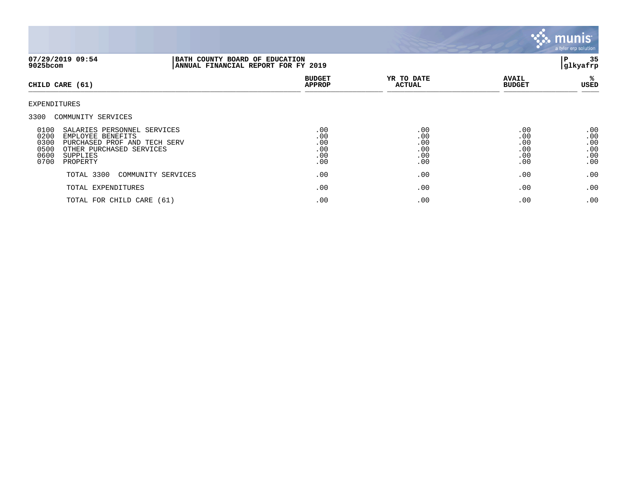

| 07/29/2019 09:54<br>9025bcom                                                                                                                                                                                    |                    | BATH COUNTY BOARD OF EDUCATION<br>ANNUAL FINANCIAL REPORT FOR FY 2019 |                                        |                                        |                                        |
|-----------------------------------------------------------------------------------------------------------------------------------------------------------------------------------------------------------------|--------------------|-----------------------------------------------------------------------|----------------------------------------|----------------------------------------|----------------------------------------|
| CHILD CARE (61)                                                                                                                                                                                                 |                    | <b>BUDGET</b><br><b>APPROP</b>                                        | YR TO DATE<br><b>ACTUAL</b>            | <b>AVAIL</b><br><b>BUDGET</b>          | %ะ<br>USED                             |
| EXPENDITURES                                                                                                                                                                                                    |                    |                                                                       |                                        |                                        |                                        |
| 3300 COMMUNITY SERVICES<br>0100<br>SALARIES PERSONNEL SERVICES<br>0200<br>EMPLOYEE BENEFITS<br>0300<br>PURCHASED PROF AND TECH SERV<br>0500<br>OTHER PURCHASED SERVICES<br>0600<br>SUPPLIES<br>0700<br>PROPERTY |                    | .00<br>.00<br>.00<br>.00<br>.00<br>.00                                | .00<br>.00<br>.00<br>.00<br>.00<br>.00 | .00<br>.00<br>.00<br>.00<br>.00<br>.00 | .00<br>.00<br>.00<br>.00<br>.00<br>.00 |
| TOTAL 3300                                                                                                                                                                                                      | COMMUNITY SERVICES | .00                                                                   | .00                                    | .00                                    | .00                                    |
| TOTAL EXPENDITURES                                                                                                                                                                                              |                    | .00                                                                   | .00                                    | .00                                    | .00                                    |
| TOTAL FOR CHILD CARE (61)                                                                                                                                                                                       |                    | .00                                                                   | .00                                    | .00                                    | .00                                    |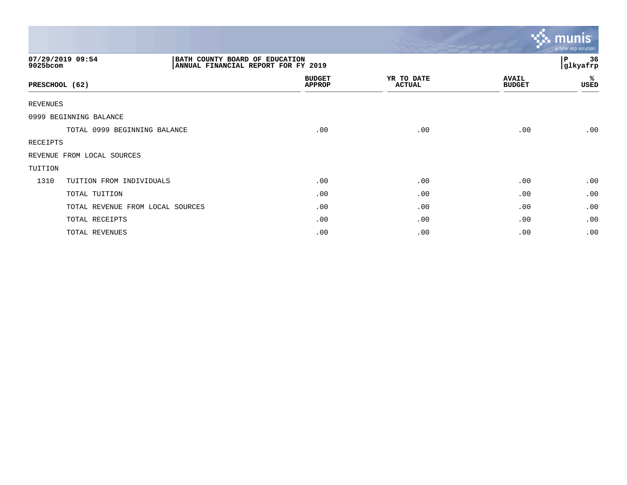|                                  |                                                                       |                             |                               | $\sim$ munis<br>a tyler erp solution |
|----------------------------------|-----------------------------------------------------------------------|-----------------------------|-------------------------------|--------------------------------------|
| 07/29/2019 09:54<br>9025bcom     | BATH COUNTY BOARD OF EDUCATION<br>ANNUAL FINANCIAL REPORT FOR FY 2019 |                             |                               | P<br>36<br>glkyafrp                  |
| PRESCHOOL (62)                   | <b>BUDGET</b><br><b>APPROP</b>                                        | YR TO DATE<br><b>ACTUAL</b> | <b>AVAIL</b><br><b>BUDGET</b> | %ะ<br>USED                           |
| <b>REVENUES</b>                  |                                                                       |                             |                               |                                      |
| 0999 BEGINNING BALANCE           |                                                                       |                             |                               |                                      |
| TOTAL 0999 BEGINNING BALANCE     | .00                                                                   | .00                         | .00                           | .00                                  |
| RECEIPTS                         |                                                                       |                             |                               |                                      |
| REVENUE FROM LOCAL SOURCES       |                                                                       |                             |                               |                                      |
| TUITION                          |                                                                       |                             |                               |                                      |
| 1310<br>TUITION FROM INDIVIDUALS | .00                                                                   | .00                         | .00                           | .00                                  |
| TOTAL TUITION                    | .00                                                                   | .00                         | .00                           | .00                                  |
| TOTAL REVENUE FROM LOCAL SOURCES | .00                                                                   | .00                         | .00                           | .00                                  |
| TOTAL RECEIPTS                   | .00                                                                   | .00                         | .00                           | .00                                  |
| TOTAL REVENUES                   | .00                                                                   | .00                         | .00                           | .00                                  |

the contract of the contract of the contract of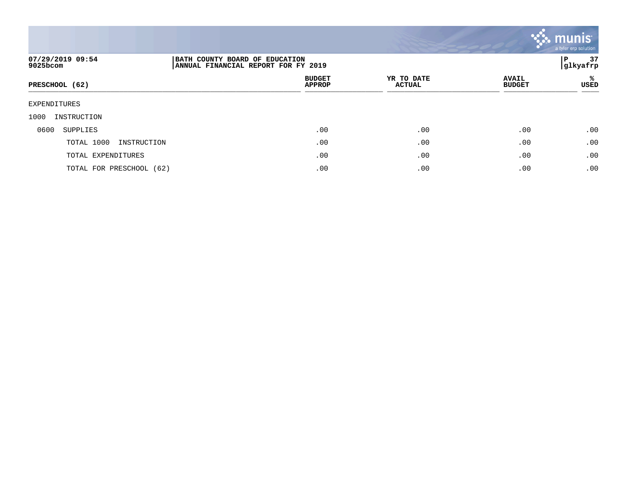

| 07/29/2019 09:54<br>9025bcom | BATH COUNTY BOARD OF EDUCATION<br> ANNUAL FINANCIAL REPORT FOR FY 2019 |                             |                               |            |
|------------------------------|------------------------------------------------------------------------|-----------------------------|-------------------------------|------------|
| PRESCHOOL (62)               | <b>BUDGET</b><br><b>APPROP</b>                                         | YR TO DATE<br><b>ACTUAL</b> | <b>AVAIL</b><br><b>BUDGET</b> | %ะ<br>USED |
| EXPENDITURES                 |                                                                        |                             |                               |            |
| 1000<br>INSTRUCTION          |                                                                        |                             |                               |            |
| 0600<br>SUPPLIES             | .00                                                                    | .00                         | .00                           | .00        |
| TOTAL 1000<br>INSTRUCTION    | .00                                                                    | .00                         | .00                           | .00        |
| TOTAL EXPENDITURES           | .00                                                                    | .00                         | .00                           | .00        |
| TOTAL FOR PRESCHOOL (62)     | .00                                                                    | .00                         | .00                           | .00        |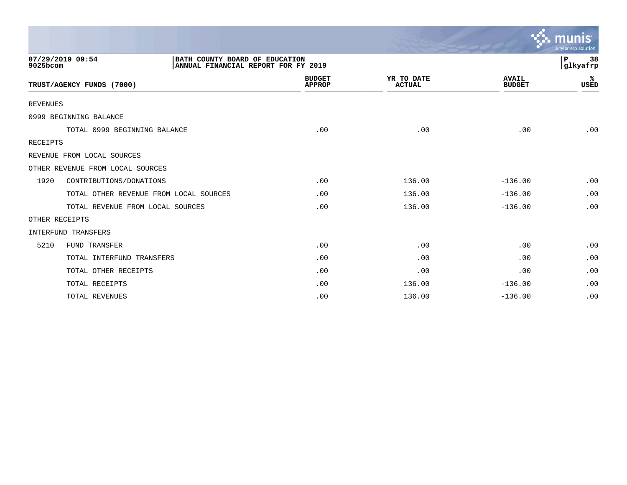|                 |                                                                                           |                                |                             |                               | mun<br>a tyler erp solution |
|-----------------|-------------------------------------------------------------------------------------------|--------------------------------|-----------------------------|-------------------------------|-----------------------------|
| 9025bcom        | 07/29/2019 09:54<br>BATH COUNTY BOARD OF EDUCATION<br>ANNUAL FINANCIAL REPORT FOR FY 2019 |                                |                             |                               | P<br>38<br>glkyafrp         |
|                 | TRUST/AGENCY FUNDS (7000)                                                                 | <b>BUDGET</b><br><b>APPROP</b> | YR TO DATE<br><b>ACTUAL</b> | <b>AVAIL</b><br><b>BUDGET</b> | ℁<br>USED                   |
| <b>REVENUES</b> |                                                                                           |                                |                             |                               |                             |
|                 | 0999 BEGINNING BALANCE                                                                    |                                |                             |                               |                             |
|                 | TOTAL 0999 BEGINNING BALANCE                                                              | .00                            | .00                         | .00                           | .00                         |
| <b>RECEIPTS</b> |                                                                                           |                                |                             |                               |                             |
|                 | REVENUE FROM LOCAL SOURCES                                                                |                                |                             |                               |                             |
|                 | OTHER REVENUE FROM LOCAL SOURCES                                                          |                                |                             |                               |                             |
| 1920            | CONTRIBUTIONS/DONATIONS                                                                   | .00                            | 136.00                      | $-136.00$                     | .00                         |
|                 | TOTAL OTHER REVENUE FROM LOCAL SOURCES                                                    | .00                            | 136.00                      | $-136.00$                     | .00                         |
|                 | TOTAL REVENUE FROM LOCAL SOURCES                                                          | .00                            | 136.00                      | $-136.00$                     | .00                         |
|                 | OTHER RECEIPTS                                                                            |                                |                             |                               |                             |
|                 | <b>INTERFUND TRANSFERS</b>                                                                |                                |                             |                               |                             |
| 5210            | <b>FUND TRANSFER</b>                                                                      | .00                            | .00                         | .00                           | .00                         |
|                 | TOTAL INTERFUND TRANSFERS                                                                 | .00                            | .00                         | .00                           | .00                         |
|                 | TOTAL OTHER RECEIPTS                                                                      | .00                            | .00                         | .00                           | .00                         |
|                 | TOTAL RECEIPTS                                                                            | .00                            | 136.00                      | $-136.00$                     | .00                         |
|                 | TOTAL REVENUES                                                                            | .00                            | 136.00                      | $-136.00$                     | .00                         |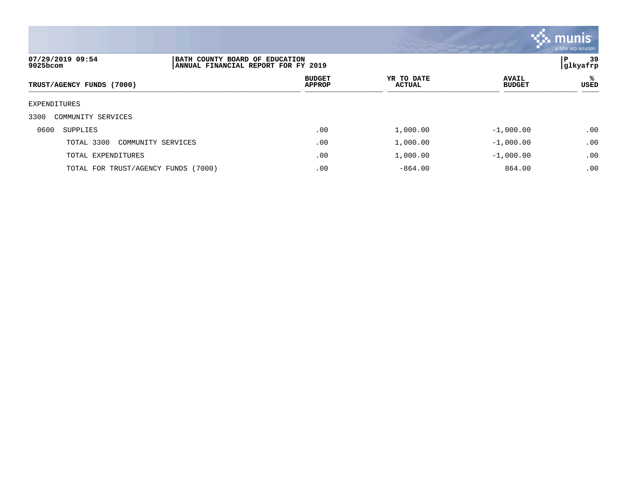

| 07/29/2019 09:54<br>9025bcom        | BATH COUNTY BOARD OF EDUCATION<br> ANNUAL FINANCIAL REPORT FOR FY 2019 |                             |                               |            |
|-------------------------------------|------------------------------------------------------------------------|-----------------------------|-------------------------------|------------|
| TRUST/AGENCY FUNDS (7000)           | <b>BUDGET</b><br><b>APPROP</b>                                         | YR TO DATE<br><b>ACTUAL</b> | <b>AVAIL</b><br><b>BUDGET</b> | %ะ<br>USED |
| EXPENDITURES                        |                                                                        |                             |                               |            |
| 3300<br>COMMUNITY SERVICES          |                                                                        |                             |                               |            |
| 0600<br>SUPPLIES                    | .00                                                                    | 1,000.00                    | $-1,000.00$                   | .00        |
| TOTAL 3300<br>COMMUNITY SERVICES    | .00                                                                    | 1,000.00                    | $-1,000.00$                   | .00        |
| TOTAL EXPENDITURES                  | .00                                                                    | 1,000.00                    | $-1,000.00$                   | .00        |
| TOTAL FOR TRUST/AGENCY FUNDS (7000) | .00                                                                    | $-864.00$                   | 864.00                        | .00        |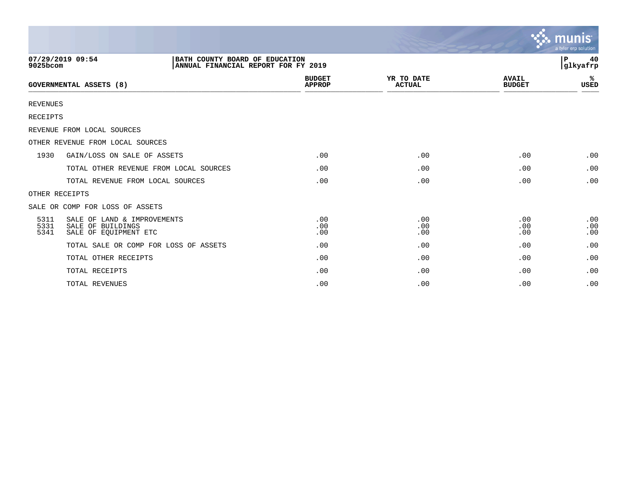|                      |                                                                                           |                                |                             |                               | $\sim$ munis<br>a tyler erp solution |
|----------------------|-------------------------------------------------------------------------------------------|--------------------------------|-----------------------------|-------------------------------|--------------------------------------|
| 9025bcom             | 07/29/2019 09:54<br>BATH COUNTY BOARD OF EDUCATION<br>ANNUAL FINANCIAL REPORT FOR FY 2019 |                                |                             |                               | 40<br>ΙP<br> glkyafrp                |
|                      | <b>GOVERNMENTAL ASSETS (8)</b>                                                            | <b>BUDGET</b><br><b>APPROP</b> | YR TO DATE<br><b>ACTUAL</b> | <b>AVAIL</b><br><b>BUDGET</b> | ℁<br>USED                            |
| <b>REVENUES</b>      |                                                                                           |                                |                             |                               |                                      |
| <b>RECEIPTS</b>      |                                                                                           |                                |                             |                               |                                      |
|                      | REVENUE FROM LOCAL SOURCES                                                                |                                |                             |                               |                                      |
|                      | OTHER REVENUE FROM LOCAL SOURCES                                                          |                                |                             |                               |                                      |
| 1930                 | GAIN/LOSS ON SALE OF ASSETS                                                               | .00                            | .00                         | .00                           | .00                                  |
|                      | TOTAL OTHER REVENUE FROM LOCAL SOURCES                                                    | .00                            | .00                         | .00                           | .00                                  |
|                      | TOTAL REVENUE FROM LOCAL SOURCES                                                          | .00                            | .00                         | .00                           | .00                                  |
|                      | OTHER RECEIPTS                                                                            |                                |                             |                               |                                      |
|                      | SALE OR COMP FOR LOSS OF ASSETS                                                           |                                |                             |                               |                                      |
| 5311<br>5331<br>5341 | SALE OF LAND & IMPROVEMENTS<br>SALE OF BUILDINGS<br>SALE OF EQUIPMENT ETC                 | .00<br>.00<br>.00              | .00<br>.00<br>.00           | .00<br>.00<br>.00             | .00<br>.00<br>.00                    |
|                      | TOTAL SALE OR COMP FOR LOSS OF ASSETS                                                     | .00                            | .00                         | .00                           | .00                                  |
|                      | TOTAL OTHER RECEIPTS                                                                      | .00                            | .00                         | .00                           | .00                                  |
|                      | TOTAL RECEIPTS                                                                            | .00                            | .00                         | .00                           | .00                                  |
|                      | TOTAL REVENUES                                                                            | .00                            | .00                         | .00                           | .00                                  |

 $\sim$   $\sim$   $\sim$   $\sim$   $\sim$   $\sim$   $\sim$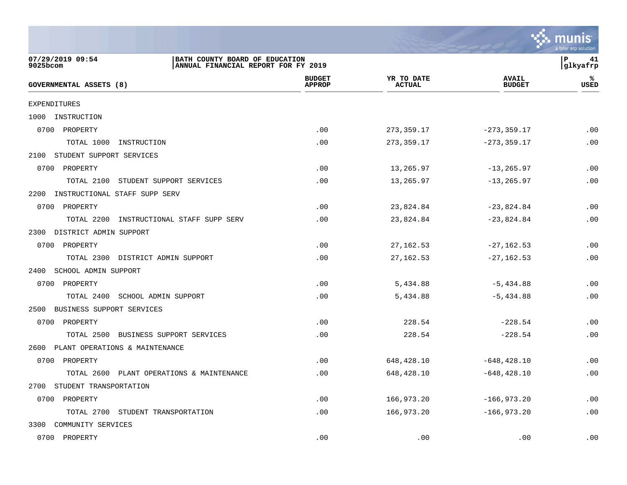

| 07/29/2019 09:54<br>BATH COUNTY BOARD OF EDUCATION<br>9025bcom<br>ANNUAL FINANCIAL REPORT FOR FY 2019 |                                |                             |                               | lР<br>41<br>glkyafrp |
|-------------------------------------------------------------------------------------------------------|--------------------------------|-----------------------------|-------------------------------|----------------------|
| <b>GOVERNMENTAL ASSETS (8)</b>                                                                        | <b>BUDGET</b><br><b>APPROP</b> | YR TO DATE<br><b>ACTUAL</b> | <b>AVAIL</b><br><b>BUDGET</b> | ℁<br><b>USED</b>     |
| <b>EXPENDITURES</b>                                                                                   |                                |                             |                               |                      |
| 1000 INSTRUCTION                                                                                      |                                |                             |                               |                      |
| 0700 PROPERTY                                                                                         | .00                            | 273, 359.17                 | $-273, 359.17$                | .00                  |
| TOTAL 1000<br>INSTRUCTION                                                                             | .00                            | 273,359.17                  | $-273, 359.17$                | .00                  |
| 2100 STUDENT SUPPORT SERVICES                                                                         |                                |                             |                               |                      |
| 0700 PROPERTY                                                                                         | .00                            | 13,265.97                   | $-13, 265.97$                 | .00                  |
| TOTAL 2100<br>STUDENT SUPPORT SERVICES                                                                | .00                            | 13,265.97                   | $-13, 265.97$                 | .00                  |
| INSTRUCTIONAL STAFF SUPP SERV<br>2200                                                                 |                                |                             |                               |                      |
| 0700 PROPERTY                                                                                         | .00                            | 23,824.84                   | $-23,824.84$                  | .00                  |
| INSTRUCTIONAL STAFF SUPP SERV<br>TOTAL 2200                                                           | .00                            | 23,824.84                   | $-23,824.84$                  | .00                  |
| 2300 DISTRICT ADMIN SUPPORT                                                                           |                                |                             |                               |                      |
| 0700 PROPERTY                                                                                         | .00                            | 27, 162.53                  | $-27, 162.53$                 | .00                  |
| TOTAL 2300 DISTRICT ADMIN SUPPORT                                                                     | .00                            | 27, 162.53                  | $-27, 162.53$                 | .00                  |
| 2400 SCHOOL ADMIN SUPPORT                                                                             |                                |                             |                               |                      |
| 0700 PROPERTY                                                                                         | .00                            | 5,434.88                    | $-5,434.88$                   | .00                  |
| TOTAL 2400 SCHOOL ADMIN SUPPORT                                                                       | .00                            | 5,434.88                    | $-5,434.88$                   | .00                  |
| 2500 BUSINESS SUPPORT SERVICES                                                                        |                                |                             |                               |                      |
| 0700 PROPERTY                                                                                         | .00                            | 228.54                      | $-228.54$                     | .00                  |
| TOTAL 2500 BUSINESS SUPPORT SERVICES                                                                  | .00                            | 228.54                      | $-228.54$                     | .00                  |
| 2600 PLANT OPERATIONS & MAINTENANCE                                                                   |                                |                             |                               |                      |
| 0700 PROPERTY                                                                                         | .00                            | 648,428.10                  | $-648, 428.10$                | .00                  |
| TOTAL 2600 PLANT OPERATIONS & MAINTENANCE                                                             | .00                            | 648,428.10                  | $-648, 428.10$                | .00                  |
| 2700 STUDENT TRANSPORTATION                                                                           |                                |                             |                               |                      |
| 0700 PROPERTY                                                                                         | .00                            | 166,973.20                  | $-166,973.20$                 | .00                  |
| TOTAL 2700 STUDENT TRANSPORTATION                                                                     | .00                            | 166,973.20                  | $-166,973.20$                 | .00                  |
| 3300 COMMUNITY SERVICES                                                                               |                                |                             |                               |                      |
| 0700 PROPERTY                                                                                         | .00                            | .00                         | .00                           | .00                  |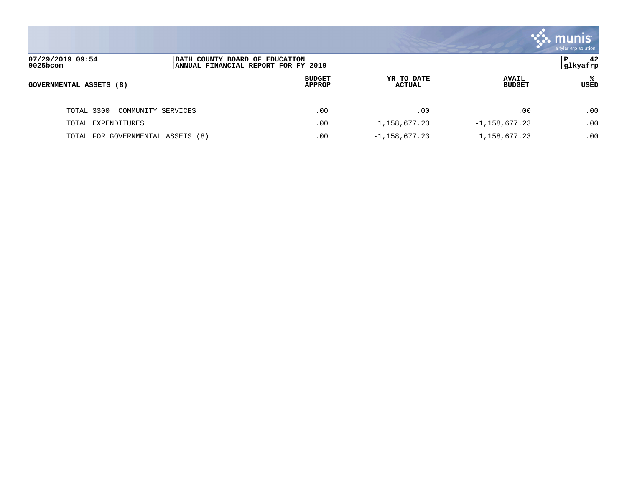|                                   |                                                                       |                                |                             |                               | <b>::: munis</b><br>a tyler erp solution |
|-----------------------------------|-----------------------------------------------------------------------|--------------------------------|-----------------------------|-------------------------------|------------------------------------------|
| 07/29/2019 09:54<br>9025bcom      | BATH COUNTY BOARD OF EDUCATION<br>ANNUAL FINANCIAL REPORT FOR FY 2019 |                                |                             |                               | 42<br>l P<br> glkyafrp                   |
| <b>GOVERNMENTAL ASSETS (8)</b>    |                                                                       | <b>BUDGET</b><br><b>APPROP</b> | YR TO DATE<br><b>ACTUAL</b> | <b>AVAIL</b><br><b>BUDGET</b> | ℁<br><b>USED</b>                         |
| TOTAL 3300                        | COMMUNITY SERVICES                                                    | .00                            | .00                         | .00                           | .00                                      |
| TOTAL EXPENDITURES                |                                                                       | .00                            | 1,158,677.23                | $-1,158,677.23$               | .00                                      |
| TOTAL FOR GOVERNMENTAL ASSETS (8) |                                                                       | .00                            | $-1,158,677.23$             | 1, 158, 677. 23               | .00                                      |

and the contract of the contract of the contract of the contract of the contract of the contract of the contract of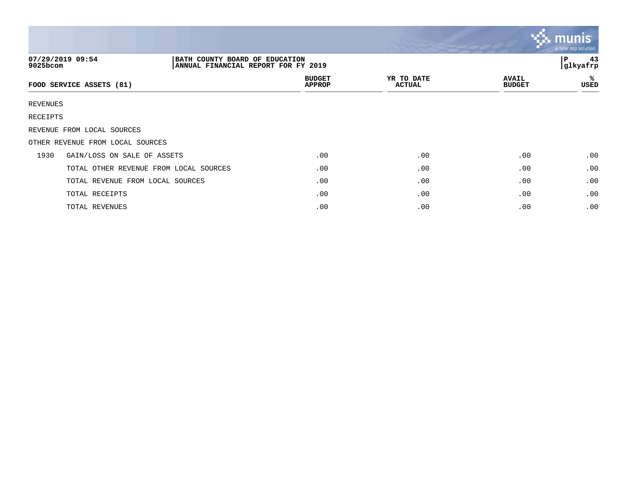|          |                                                                                           |                                |                             |                               | $\mathbf{\ddot{\cdot}}\mathbf{\ddot{\cdot}}$ munist<br>a tyler erp solution |
|----------|-------------------------------------------------------------------------------------------|--------------------------------|-----------------------------|-------------------------------|-----------------------------------------------------------------------------|
| 9025bcom | 07/29/2019 09:54<br>BATH COUNTY BOARD OF EDUCATION<br>ANNUAL FINANCIAL REPORT FOR FY 2019 |                                |                             |                               | 43<br>P<br>glkyafrp                                                         |
|          | FOOD SERVICE ASSETS (81)                                                                  | <b>BUDGET</b><br><b>APPROP</b> | YR TO DATE<br><b>ACTUAL</b> | <b>AVAIL</b><br><b>BUDGET</b> | ℁<br>USED                                                                   |
| REVENUES |                                                                                           |                                |                             |                               |                                                                             |
| RECEIPTS |                                                                                           |                                |                             |                               |                                                                             |
|          | REVENUE FROM LOCAL SOURCES                                                                |                                |                             |                               |                                                                             |
|          | OTHER REVENUE FROM LOCAL SOURCES                                                          |                                |                             |                               |                                                                             |
| 1930     | GAIN/LOSS ON SALE OF ASSETS                                                               | .00                            | .00                         | .00                           | .00                                                                         |
|          | TOTAL OTHER REVENUE FROM LOCAL SOURCES                                                    | .00                            | .00                         | .00                           | .00                                                                         |
|          | TOTAL REVENUE FROM LOCAL SOURCES                                                          | .00                            | .00                         | .00                           | .00                                                                         |
|          | TOTAL RECEIPTS                                                                            | .00                            | .00                         | .00                           | .00                                                                         |
|          | TOTAL REVENUES                                                                            | .00                            | .00                         | .00                           | .00                                                                         |

and the contract of the contract of the contract of the contract of the contract of the contract of the contract of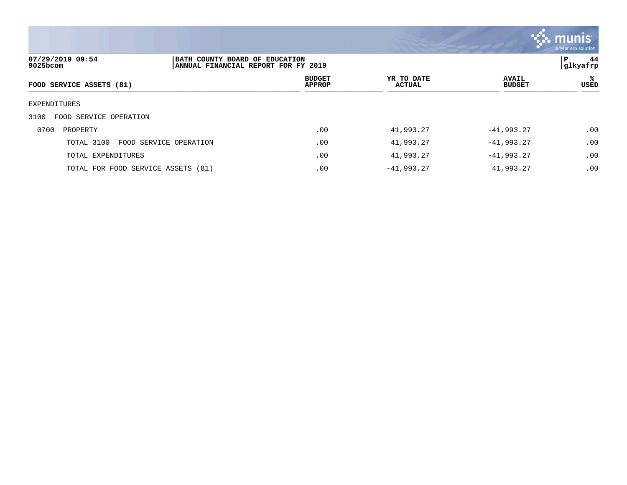

| 07/29/2019 09:54<br>9025bcom       | BATH COUNTY BOARD OF EDUCATION<br> ANNUAL FINANCIAL REPORT FOR FY 2019 |                                |                             |                               | 44<br>P<br> glkyafrp |
|------------------------------------|------------------------------------------------------------------------|--------------------------------|-----------------------------|-------------------------------|----------------------|
| FOOD SERVICE ASSETS (81)           |                                                                        | <b>BUDGET</b><br><b>APPROP</b> | YR TO DATE<br><b>ACTUAL</b> | <b>AVAIL</b><br><b>BUDGET</b> | ℁<br>USED            |
| EXPENDITURES                       |                                                                        |                                |                             |                               |                      |
| FOOD SERVICE OPERATION<br>3100     |                                                                        |                                |                             |                               |                      |
| 0700<br>PROPERTY                   |                                                                        | .00                            | 41,993.27                   | $-41,993.27$                  | .00                  |
| TOTAL 3100                         | FOOD SERVICE OPERATION                                                 | .00                            | 41,993.27                   | $-41,993.27$                  | .00                  |
| TOTAL EXPENDITURES                 |                                                                        | .00                            | 41,993.27                   | $-41,993.27$                  | .00                  |
| TOTAL FOR FOOD SERVICE ASSETS (81) |                                                                        | .00                            | $-41,993.27$                | 41,993.27                     | .00                  |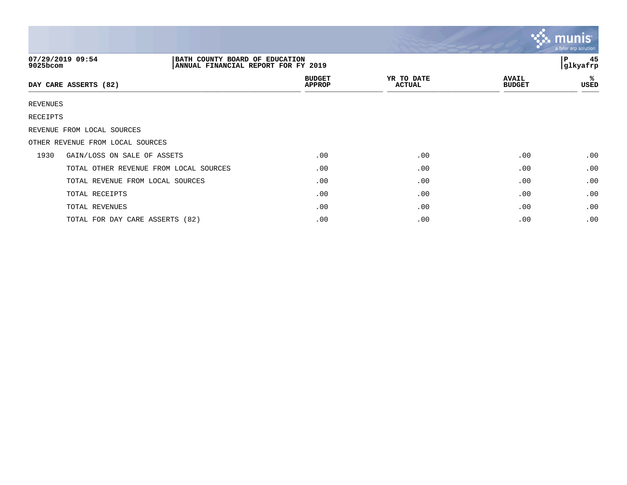|                 |                                                                                           |                                |                             |                               | $\mathbf{\ddot{\cdot}}\mathbf{\ddot{\cdot}}\mathbf{m}$ unis $\mathbf{\ddot{\cdot}}$<br>a tyler erp solution |
|-----------------|-------------------------------------------------------------------------------------------|--------------------------------|-----------------------------|-------------------------------|-------------------------------------------------------------------------------------------------------------|
| 9025bcom        | 07/29/2019 09:54<br>BATH COUNTY BOARD OF EDUCATION<br>ANNUAL FINANCIAL REPORT FOR FY 2019 |                                |                             |                               | 45<br>l P<br> glkyafrp                                                                                      |
|                 | DAY CARE ASSERTS (82)                                                                     | <b>BUDGET</b><br><b>APPROP</b> | YR TO DATE<br><b>ACTUAL</b> | <b>AVAIL</b><br><b>BUDGET</b> | ℁<br>USED                                                                                                   |
| <b>REVENUES</b> |                                                                                           |                                |                             |                               |                                                                                                             |
| RECEIPTS        |                                                                                           |                                |                             |                               |                                                                                                             |
|                 | REVENUE FROM LOCAL SOURCES                                                                |                                |                             |                               |                                                                                                             |
|                 | OTHER REVENUE FROM LOCAL SOURCES                                                          |                                |                             |                               |                                                                                                             |
| 1930            | GAIN/LOSS ON SALE OF ASSETS                                                               | .00                            | .00                         | .00                           | .00                                                                                                         |
|                 | TOTAL OTHER REVENUE FROM LOCAL SOURCES                                                    | .00                            | .00                         | .00                           | .00                                                                                                         |
|                 | TOTAL REVENUE FROM LOCAL SOURCES                                                          | .00                            | .00                         | .00                           | .00                                                                                                         |
|                 | TOTAL RECEIPTS                                                                            | .00                            | .00                         | .00                           | .00                                                                                                         |
|                 | TOTAL REVENUES                                                                            | .00                            | .00                         | .00                           | .00                                                                                                         |
|                 | TOTAL FOR DAY CARE ASSERTS (82)                                                           | .00                            | .00                         | .00                           | .00                                                                                                         |

 $\mathcal{L}$  .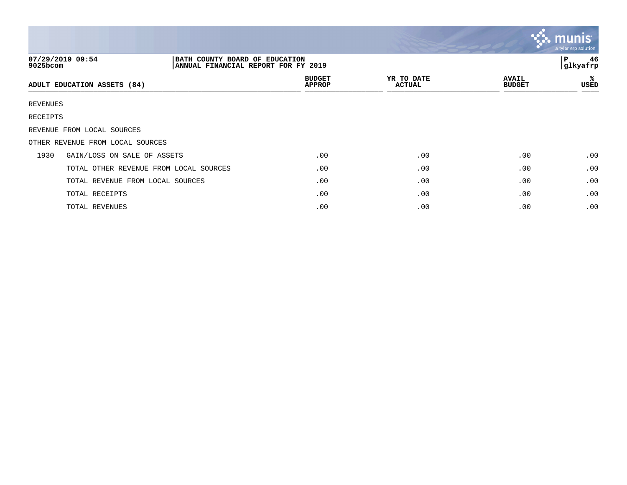|             |                                                                                           |                                |                             |                               | <b>S. munis</b><br>a tyler erp solution |
|-------------|-------------------------------------------------------------------------------------------|--------------------------------|-----------------------------|-------------------------------|-----------------------------------------|
| $9025$ bcom | 07/29/2019 09:54<br>BATH COUNTY BOARD OF EDUCATION<br>ANNUAL FINANCIAL REPORT FOR FY 2019 |                                |                             |                               | 46<br>P<br>glkyafrp                     |
|             | ADULT EDUCATION ASSETS (84)                                                               | <b>BUDGET</b><br><b>APPROP</b> | YR TO DATE<br><b>ACTUAL</b> | <b>AVAIL</b><br><b>BUDGET</b> | ℁<br>USED                               |
| REVENUES    |                                                                                           |                                |                             |                               |                                         |
| RECEIPTS    |                                                                                           |                                |                             |                               |                                         |
|             | REVENUE FROM LOCAL SOURCES                                                                |                                |                             |                               |                                         |
|             | OTHER REVENUE FROM LOCAL SOURCES                                                          |                                |                             |                               |                                         |
| 1930        | GAIN/LOSS ON SALE OF ASSETS                                                               | .00                            | .00                         | .00                           | .00                                     |
|             | TOTAL OTHER REVENUE FROM LOCAL SOURCES                                                    | .00                            | .00                         | .00                           | .00                                     |
|             | TOTAL REVENUE FROM LOCAL SOURCES                                                          | .00                            | .00                         | .00                           | .00                                     |
|             | TOTAL RECEIPTS                                                                            | .00                            | .00                         | .00                           | .00                                     |
|             | TOTAL REVENUES                                                                            | .00                            | .00                         | .00                           | .00                                     |

 $\sim$   $\sim$   $\sim$   $\sim$   $\sim$   $\sim$   $\sim$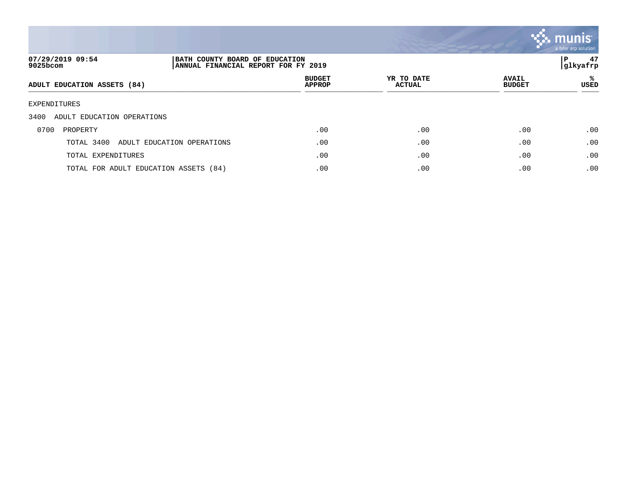

| 07/29/2019 09:54<br>9025bcom          | BATH COUNTY BOARD OF EDUCATION<br>ANNUAL FINANCIAL REPORT FOR FY 2019 |                                |                             |                               | 47<br>P<br> glkyafrp |
|---------------------------------------|-----------------------------------------------------------------------|--------------------------------|-----------------------------|-------------------------------|----------------------|
| ADULT EDUCATION ASSETS (84)           |                                                                       | <b>BUDGET</b><br><b>APPROP</b> | YR TO DATE<br><b>ACTUAL</b> | <b>AVAIL</b><br><b>BUDGET</b> | ℁<br>USED            |
| EXPENDITURES                          |                                                                       |                                |                             |                               |                      |
| 3400<br>ADULT EDUCATION OPERATIONS    |                                                                       |                                |                             |                               |                      |
| 0700<br>PROPERTY                      |                                                                       | .00                            | .00                         | .00                           | .00                  |
| TOTAL 3400                            | ADULT EDUCATION OPERATIONS                                            | .00                            | .00                         | .00                           | .00                  |
| TOTAL EXPENDITURES                    |                                                                       | .00                            | .00                         | .00                           | .00                  |
| TOTAL FOR ADULT EDUCATION ASSETS (84) |                                                                       | .00                            | .00                         | .00                           | .00                  |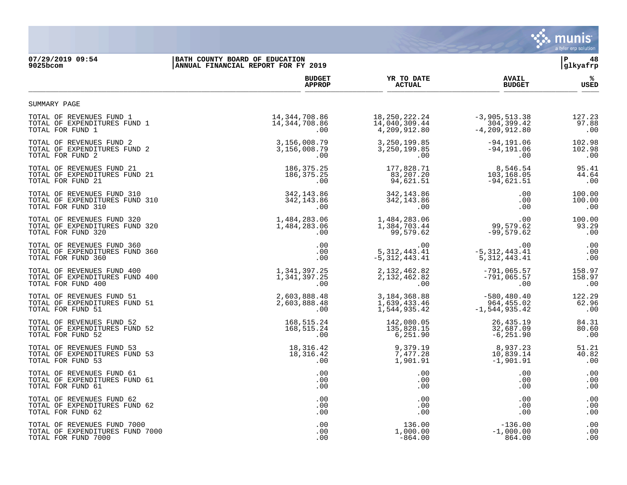

## **07/29/2019 09:54 |BATH COUNTY BOARD OF EDUCATION |P 48 9025bcom |ANNUAL FINANCIAL REPORT FOR FY 2019 |glkyafrp**

|                                                                                    | <b>BUDGET</b>                       | YR TO DATE                                | <b>AVAIL</b>                | %                      |
|------------------------------------------------------------------------------------|-------------------------------------|-------------------------------------------|-----------------------------|------------------------|
|                                                                                    | <b>APPROP</b>                       | <b>ACTUAL</b>                             | <b>BUDGET</b>               | USED                   |
| SUMMARY PAGE                                                                       |                                     |                                           |                             |                        |
| TOTAL OF REVENUES FUND 1                                                           | 14,344,708.86                       | 18, 250, 222. 24                          | $-3,905,513.38$             | 127.23                 |
| TOTAL OF EXPENDITURES FUND 1                                                       | 14,344,708.86                       | 14,040,309.44                             | 304,399.42                  | 97.88                  |
| TOTAL FOR FUND 1                                                                   | .00                                 | 4,209,912.80                              | $-4, 209, 912.80$           | .00                    |
| TOTAL OF REVENUES FUND 2                                                           | 3,156,008.79                        | 3, 250, 199.85                            | $-94, 191.06$               | 102.98                 |
| TOTAL OF EXPENDITURES FUND 2                                                       | 3,156,008.79                        | 3, 250, 199.85                            | $-94, 191.06$               | 102.98                 |
| TOTAL FOR FUND 2                                                                   | .00                                 | .00                                       | .00                         | .00                    |
| TOTAL OF REVENUES FUND 21                                                          | 186, 375. 25                        | 177,828.71                                | 8,546.54                    | 95.41                  |
| TOTAL OF EXPENDITURES FUND 21                                                      | 186, 375. 25                        | 83,207.20                                 | 103,168.05                  | 44.64                  |
| TOTAL FOR FUND 21                                                                  | .00                                 | 94,621.51                                 | $-94,621.51$                | .00                    |
| TOTAL OF REVENUES FUND 310                                                         | 342, 143.86                         | 342, 143.86                               | .00                         | 100.00                 |
| TOTAL OF EXPENDITURES FUND 310                                                     | 342, 143.86                         | 342, 143.86                               | .00                         | 100.00                 |
| TOTAL FOR FUND 310                                                                 | .00                                 | .00                                       | .00                         | .00                    |
| TOTAL OF REVENUES FUND 320<br>TOTAL OF EXPENDITURES FUND 320<br>TOTAL FOR FUND 320 | 1,484,283.06<br>1,484,283.06<br>.00 | 1,484,283.06<br>1,384,703.44<br>99,579.62 | 99, 579. 62<br>$-99,579.62$ | 100.00<br>93.29<br>.00 |
| TOTAL OF REVENUES FUND 360                                                         | .00                                 | $.00 \,$                                  | .00                         | .00                    |
| TOTAL OF EXPENDITURES FUND 360                                                     | .00                                 | 5, 312, 443.41                            | $-5, 312, 443.41$           | .00                    |
| TOTAL FOR FUND 360                                                                 | .00                                 | $-5,312,443.41$                           | 5, 312, 443. 41             | .00                    |
| TOTAL OF REVENUES FUND 400                                                         | 1,341,397.25                        | 2, 132, 462.82                            | $-791,065.57$               | 158.97                 |
| TOTAL OF EXPENDITURES FUND 400                                                     | 1,341,397.25                        | 2, 132, 462.82                            | $-791,065.57$               | 158.97                 |
| TOTAL FOR FUND 400                                                                 | .00                                 | $.00 \,$                                  | .00                         | .00                    |
| TOTAL OF REVENUES FUND 51                                                          | 2,603,888.48                        | 3, 184, 368.88                            | $-580, 480.40$              | 122.29                 |
| TOTAL OF EXPENDITURES FUND 51                                                      | 2,603,888.48                        | 1,639,433.46                              | 964,455.02                  | 62.96                  |
| TOTAL FOR FUND 51                                                                  | .00                                 | 1,544,935.42                              | $-1, 544, 935.42$           | .00                    |
| TOTAL OF REVENUES FUND 52                                                          | 168,515.24                          | 142,080.05                                | 26, 435. 19                 | 84.31                  |
| TOTAL OF EXPENDITURES FUND 52                                                      | 168,515.24                          | 135,828.15                                | 32,687.09                   | 80.60                  |
| TOTAL FOR FUND 52                                                                  | .00                                 | 6,251.90                                  | $-6, 251.90$                | .00                    |
| TOTAL OF REVENUES FUND 53                                                          | 18,316.42                           | 9,379.19                                  | 8,937.23                    | 51.21                  |
| TOTAL OF EXPENDITURES FUND 53                                                      | 18,316.42                           | 7,477.28                                  | 10,839.14                   | 40.82                  |
| TOTAL FOR FUND 53                                                                  | .00                                 | 1,901.91                                  | $-1,901.91$                 | .00                    |
| TOTAL OF REVENUES FUND 61                                                          | .00                                 | .00                                       | .00                         | .00                    |
| TOTAL OF EXPENDITURES FUND 61                                                      | .00                                 | .00                                       | .00                         | .00                    |
| TOTAL FOR FUND 61                                                                  | .00                                 | $.00 \,$                                  | .00                         | .00                    |
| TOTAL OF REVENUES FUND 62                                                          | .00                                 | $.00 \,$                                  | .00                         | .00                    |
| TOTAL OF EXPENDITURES FUND 62                                                      | .00                                 | $.00 \,$                                  | .00                         | .00                    |
| TOTAL FOR FUND 62                                                                  | .00                                 | $.00 \,$                                  | .00                         | .00                    |
| TOTAL OF REVENUES FUND 7000                                                        | .00                                 | 136.00                                    | $-136.00$                   | .00                    |
| TOTAL OF EXPENDITURES FUND 7000                                                    | .00                                 | 1,000.00                                  | $-1,000.00$                 | .00                    |
| TOTAL FOR FUND 7000                                                                | .00                                 | $-864.00$                                 | 864.00                      | .00                    |